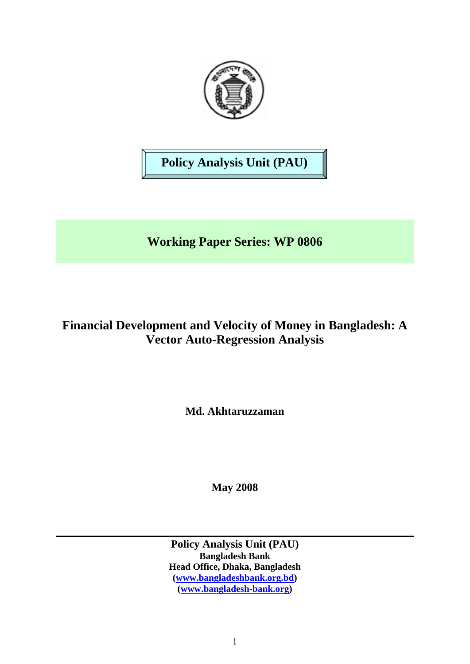

**Policy Analysis Unit (PAU)** 

# **Working Paper Series: WP 0806**

# **Financial Development and Velocity of Money in Bangladesh: A Vector Auto-Regression Analysis**

**Md. Akhtaruzzaman** 

**May 2008** 

**Policy Analysis Unit (PAU) Bangladesh Bank Head Office, Dhaka, Bangladesh ([www.bangladeshbank.org.bd](http://www.bangladeshbank.org.bd/)) ([www.bangladesh-bank.org](http://www.bangladesh-bank.org/))**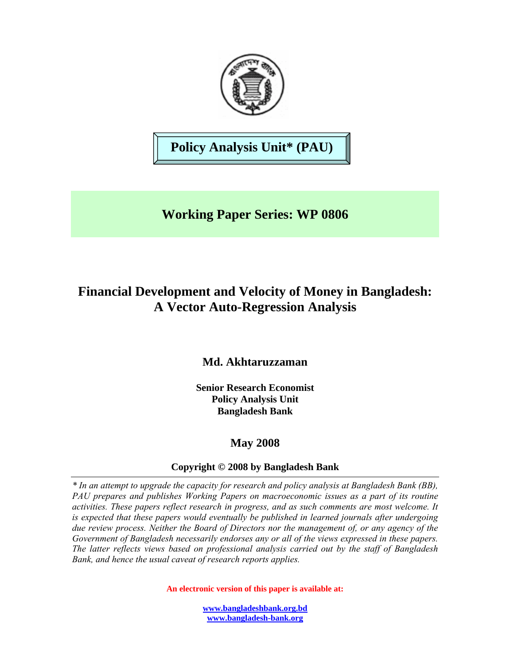

**Policy Analysis Unit\* (PAU)** 

**Working Paper Series: WP 0806** 

# **Financial Development and Velocity of Money in Bangladesh: A Vector Auto-Regression Analysis**

# **Md. Akhtaruzzaman**

**Senior Research Economist Policy Analysis Unit Bangladesh Bank** 

# **May 2008**

# **Copyright © 2008 by Bangladesh Bank**

*\* In an attempt to upgrade the capacity for research and policy analysis at Bangladesh Bank (BB), PAU prepares and publishes Working Papers on macroeconomic issues as a part of its routine activities. These papers reflect research in progress, and as such comments are most welcome. It is expected that these papers would eventually be published in learned journals after undergoing due review process. Neither the Board of Directors nor the management of, or any agency of the Government of Bangladesh necessarily endorses any or all of the views expressed in these papers. The latter reflects views based on professional analysis carried out by the staff of Bangladesh Bank, and hence the usual caveat of research reports applies.*

**An electronic version of this paper is available at:** 

**[www.bangladeshbank.org.bd](http://www.bangladeshbank.org.bd/) [www.bangladesh-bank.org](http://www.bangladesh-bank.org/)**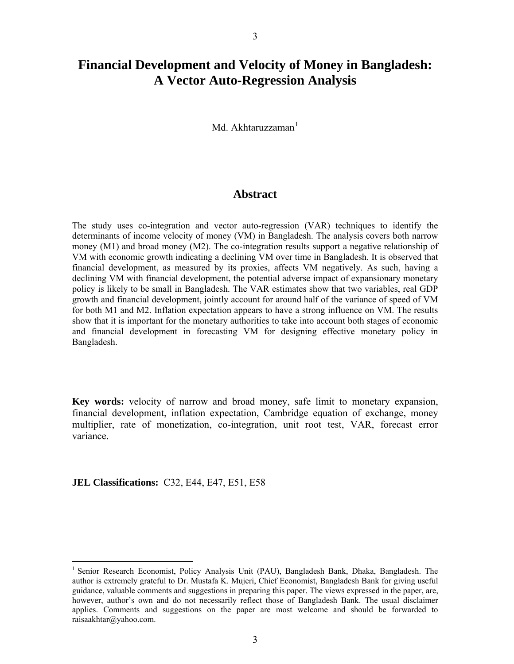# <span id="page-2-0"></span>**Financial Development and Velocity of Money in Bangladesh: A Vector Auto-Regression Analysis**

Md. Akhtaruzzaman $<sup>1</sup>$  $<sup>1</sup>$  $<sup>1</sup>$ </sup>

## **Abstract**

The study uses co-integration and vector auto-regression (VAR) techniques to identify the determinants of income velocity of money (VM) in Bangladesh. The analysis covers both narrow money (M1) and broad money (M2). The co-integration results support a negative relationship of VM with economic growth indicating a declining VM over time in Bangladesh. It is observed that financial development, as measured by its proxies, affects VM negatively. As such, having a declining VM with financial development, the potential adverse impact of expansionary monetary policy is likely to be small in Bangladesh. The VAR estimates show that two variables, real GDP growth and financial development, jointly account for around half of the variance of speed of VM for both M1 and M2. Inflation expectation appears to have a strong influence on VM. The results show that it is important for the monetary authorities to take into account both stages of economic and financial development in forecasting VM for designing effective monetary policy in Bangladesh.

**Key words:** velocity of narrow and broad money, safe limit to monetary expansion, financial development, inflation expectation, Cambridge equation of exchange, money multiplier, rate of monetization, co-integration, unit root test, VAR, forecast error variance.

**JEL Classifications:** C32, E44, E47, E51, E58

<sup>&</sup>lt;sup>1</sup> Senior Research Economist, Policy Analysis Unit (PAU), Bangladesh Bank, Dhaka, Bangladesh. The author is extremely grateful to Dr. Mustafa K. Mujeri, Chief Economist, Bangladesh Bank for giving useful guidance, valuable comments and suggestions in preparing this paper. The views expressed in the paper, are, however, author's own and do not necessarily reflect those of Bangladesh Bank. The usual disclaimer applies. Comments and suggestions on the paper are most welcome and should be forwarded to raisaakhtar@yahoo.com.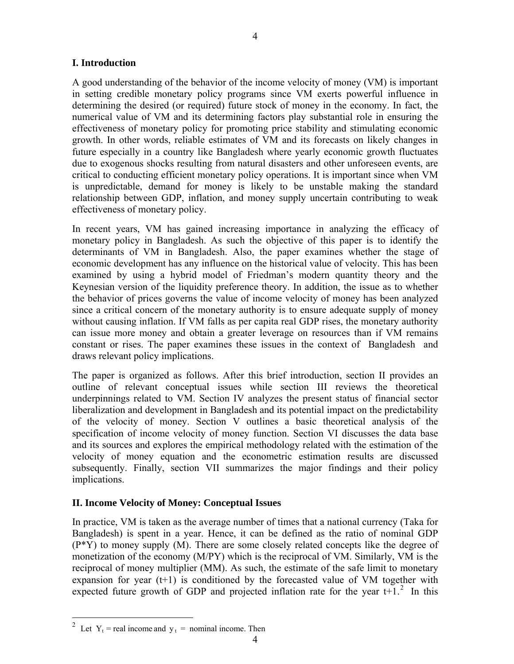## <span id="page-3-0"></span>**I. Introduction**

A good understanding of the behavior of the income velocity of money (VM) is important in setting credible monetary policy programs since VM exerts powerful influence in determining the desired (or required) future stock of money in the economy. In fact, the numerical value of VM and its determining factors play substantial role in ensuring the effectiveness of monetary policy for promoting price stability and stimulating economic growth. In other words, reliable estimates of VM and its forecasts on likely changes in future especially in a country like Bangladesh where yearly economic growth fluctuates due to exogenous shocks resulting from natural disasters and other unforeseen events, are critical to conducting efficient monetary policy operations. It is important since when VM is unpredictable, demand for money is likely to be unstable making the standard relationship between GDP, inflation, and money supply uncertain contributing to weak effectiveness of monetary policy.

In recent years, VM has gained increasing importance in analyzing the efficacy of monetary policy in Bangladesh. As such the objective of this paper is to identify the determinants of VM in Bangladesh. Also, the paper examines whether the stage of economic development has any influence on the historical value of velocity. This has been examined by using a hybrid model of Friedman's modern quantity theory and the Keynesian version of the liquidity preference theory. In addition, the issue as to whether the behavior of prices governs the value of income velocity of money has been analyzed since a critical concern of the monetary authority is to ensure adequate supply of money without causing inflation. If VM falls as per capita real GDP rises, the monetary authority can issue more money and obtain a greater leverage on resources than if VM remains constant or rises. The paper examines these issues in the context of Bangladesh and draws relevant policy implications.

The paper is organized as follows. After this brief introduction, section II provides an outline of relevant conceptual issues while section III reviews the theoretical underpinnings related to VM. Section IV analyzes the present status of financial sector liberalization and development in Bangladesh and its potential impact on the predictability of the velocity of money. Section V outlines a basic theoretical analysis of the specification of income velocity of money function. Section VI discusses the data base and its sources and explores the empirical methodology related with the estimation of the velocity of money equation and the econometric estimation results are discussed subsequently. Finally, section VII summarizes the major findings and their policy implications.

## **II. Income Velocity of Money: Conceptual Issues**

In practice, VM is taken as the average number of times that a national currency (Taka for Bangladesh) is spent in a year. Hence, it can be defined as the ratio of nominal GDP (P\*Y) to money supply (M). There are some closely related concepts like the degree of monetization of the economy (M/PY) which is the reciprocal of VM. Similarly, VM is the reciprocal of money multiplier (MM). As such, the estimate of the safe limit to monetary expansion for year  $(t+1)$  is conditioned by the forecasted value of VM together with expected future growth of GDP and projected inflation rate for the year  $t+1$ <sup>[2](#page-3-0)</sup>. In this

<sup>&</sup>lt;sup>2</sup> Let Y<sub>t</sub> = real income and y<sub>t</sub> = nominal income. Then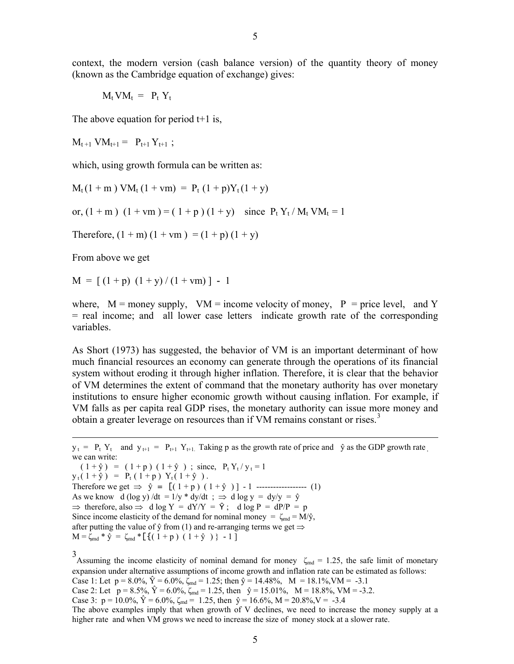<span id="page-4-0"></span>context, the modern version (cash balance version) of the quantity theory of money (known as the Cambridge equation of exchange) gives:

 $M_t V M_t = P_t Y_t$ 

The above equation for period t+1 is,

 $M_{t+1}$  V $M_{t+1} = P_{t+1} Y_{t+1}$ ;

which, using growth formula can be written as:

 $M_t(1 + m) VM_t(1 + v m) = P_t(1 + p)Y_t(1 + y)$ 

or,  $(1 + m)$   $(1 + v m) = (1 + p) (1 + y)$  since  $P_t Y_t / M_t V M_t = 1$ 

Therefore,  $(1 + m)(1 + ym) = (1 + p)(1 + y)$ 

From above we get

 $M = [(1 + p) (1 + y)/(1 + y)] - 1$ 

where,  $M =$  money supply,  $VM =$  income velocity of money,  $P =$  price level, and Y = real income; and all lower case letters indicate growth rate of the corresponding variables.

As Short (1973) has suggested, the behavior of VM is an important determinant of how much financial resources an economy can generate through the operations of its financial system without eroding it through higher inflation. Therefore, it is clear that the behavior of VM determines the extent of command that the monetary authority has over monetary institutions to ensure higher economic growth without causing inflation. For example, if VM falls as per capita real GDP rises, the monetary authority can issue more money and obtain a greater leverage on resources than if VM remains constant or rises.<sup>[3](#page-4-0)</sup>

 $y_t = P_t Y_t$  and  $y_{t+1} = P_{t+1} Y_{t+1}$ . Taking p as the growth rate of price and  $\hat{y}$  as the GDP growth rate we can write:  $(1 + \hat{y}) = (1 + p) (1 + \hat{y})$ ; since,  $P_t Y_t / y_t = 1$  $y_t(1 + \hat{y}) = P_t(1 + p) Y_t(1 + \hat{y}).$ Therefore we get  $\Rightarrow \hat{y} = [(\hat{1} + \hat{p}) (\hat{1} + \hat{y})] - 1$  --------------------- (1)

As we know d (log y) /dt =  $1/y$  \* dy/dt ;  $\Rightarrow$  d log y = dy/y =  $\hat{y}$  $\Rightarrow$  therefore, also  $\Rightarrow$  d log Y = dY/Y =  $\hat{Y}$ ; d log P = dP/P = p Since income elasticity of the demand for nominal money =  $\zeta_{\text{md}} = M/\hat{y}$ ,

after putting the value of  $\hat{y}$  from (1) and re-arranging terms we get  $\Rightarrow$  $M = \zeta_{\text{md}} * \hat{y} = \zeta_{\text{md}} * [\{ (1 + p) (1 + \hat{y}) \} - 1 ]$ 

3<br>Assuming the income elasticity of nominal demand for money  $\zeta_{\text{md}} = 1.25$ , the safe limit of monetary expansion under alternative assumptions of income growth and inflation rate can be estimated as follows: Case 1: Let  $p = 8.0\%, \hat{Y} = 6.0\%, \zeta_{\text{md}} = 1.25$ ; then  $\hat{y} = 14.48\%, M = 18.1\%, VM = -3.1$ Case 2: Let  $p = 8.5\%$ ,  $\hat{Y} = 6.0\%$ ,  $\zeta_{\text{md}} = 1.25$ , then  $\hat{y} = 15.01\%$ ,  $M = 18.8\%$ , VM = -3.2. Case 3:  $p = 10.0\%, \hat{Y} = 6.0\%, \zeta_{\text{md}} = 1.25$ , then  $\hat{y} = 16.6\%, M = 20.8\%, V = -3.4$ The above examples imply that when growth of V declines, we need to increase the money supply at a higher rate and when VM grows we need to increase the size of money stock at a slower rate.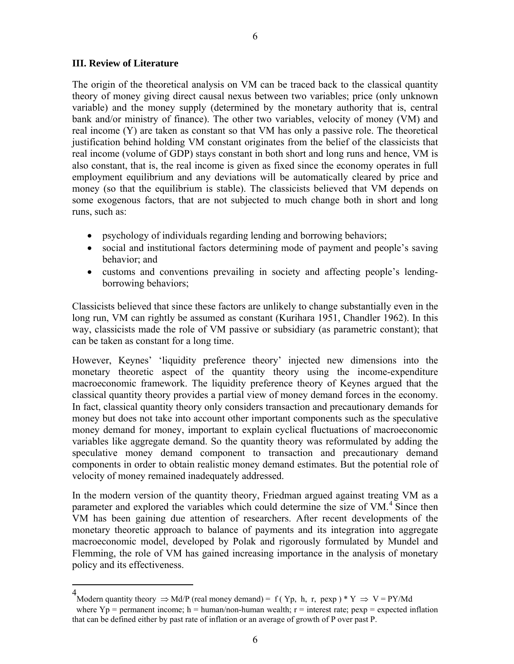#### <span id="page-5-0"></span>**III. Review of Literature**

 $\overline{a}$ 

The origin of the theoretical analysis on VM can be traced back to the classical quantity theory of money giving direct causal nexus between two variables; price (only unknown variable) and the money supply (determined by the monetary authority that is, central bank and/or ministry of finance). The other two variables, velocity of money (VM) and real income (Y) are taken as constant so that VM has only a passive role. The theoretical justification behind holding VM constant originates from the belief of the classicists that real income (volume of GDP) stays constant in both short and long runs and hence, VM is also constant, that is, the real income is given as fixed since the economy operates in full employment equilibrium and any deviations will be automatically cleared by price and money (so that the equilibrium is stable). The classicists believed that VM depends on some exogenous factors, that are not subjected to much change both in short and long runs, such as:

- psychology of individuals regarding lending and borrowing behaviors;
- social and institutional factors determining mode of payment and people's saving behavior; and
- customs and conventions prevailing in society and affecting people's lendingborrowing behaviors;

Classicists believed that since these factors are unlikely to change substantially even in the long run, VM can rightly be assumed as constant (Kurihara 1951, Chandler 1962). In this way, classicists made the role of VM passive or subsidiary (as parametric constant); that can be taken as constant for a long time.

However, Keynes' 'liquidity preference theory' injected new dimensions into the monetary theoretic aspect of the quantity theory using the income-expenditure macroeconomic framework. The liquidity preference theory of Keynes argued that the classical quantity theory provides a partial view of money demand forces in the economy. In fact, classical quantity theory only considers transaction and precautionary demands for money but does not take into account other important components such as the speculative money demand for money, important to explain cyclical fluctuations of macroeconomic variables like aggregate demand. So the quantity theory was reformulated by adding the speculative money demand component to transaction and precautionary demand components in order to obtain realistic money demand estimates. But the potential role of velocity of money remained inadequately addressed.

In the modern version of the quantity theory, Friedman argued against treating VM as a parameter and explored the variables which could determine the size of VM.<sup>[4](#page-5-0)</sup> Since then VM has been gaining due attention of researchers. After recent developments of the monetary theoretic approach to balance of payments and its integration into aggregate macroeconomic model, developed by Polak and rigorously formulated by Mundel and Flemming, the role of VM has gained increasing importance in the analysis of monetary policy and its effectiveness.

<sup>4&</sup>lt;br>Modern quantity theory  $\Rightarrow$  Md/P (real money demand) = f (Yp, h, r, pexp) \* Y  $\Rightarrow$  V = PY/Md

where  $Yp =$  permanent income; h = human/non-human wealth; r = interest rate; pexp = expected inflation that can be defined either by past rate of inflation or an average of growth of P over past P.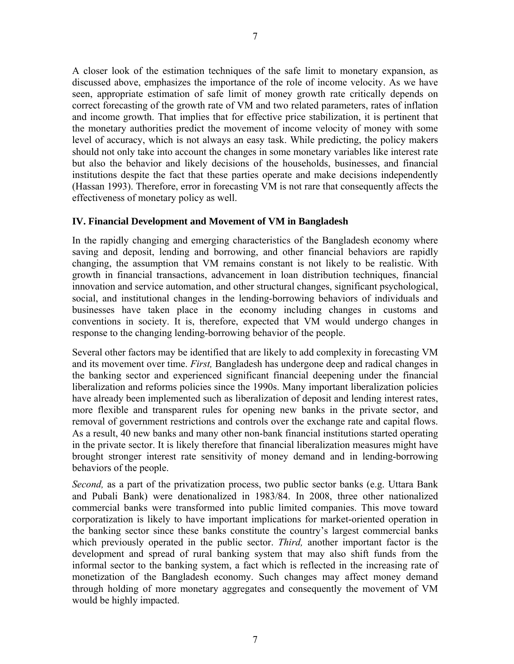A closer look of the estimation techniques of the safe limit to monetary expansion, as discussed above, emphasizes the importance of the role of income velocity. As we have seen, appropriate estimation of safe limit of money growth rate critically depends on correct forecasting of the growth rate of VM and two related parameters, rates of inflation and income growth. That implies that for effective price stabilization, it is pertinent that the monetary authorities predict the movement of income velocity of money with some level of accuracy, which is not always an easy task. While predicting, the policy makers should not only take into account the changes in some monetary variables like interest rate but also the behavior and likely decisions of the households, businesses, and financial institutions despite the fact that these parties operate and make decisions independently (Hassan 1993). Therefore, error in forecasting VM is not rare that consequently affects the effectiveness of monetary policy as well.

## **IV. Financial Development and Movement of VM in Bangladesh**

In the rapidly changing and emerging characteristics of the Bangladesh economy where saving and deposit, lending and borrowing, and other financial behaviors are rapidly changing, the assumption that VM remains constant is not likely to be realistic. With growth in financial transactions, advancement in loan distribution techniques, financial innovation and service automation, and other structural changes, significant psychological, social, and institutional changes in the lending-borrowing behaviors of individuals and businesses have taken place in the economy including changes in customs and conventions in society. It is, therefore, expected that VM would undergo changes in response to the changing lending-borrowing behavior of the people.

Several other factors may be identified that are likely to add complexity in forecasting VM and its movement over time. *First,* Bangladesh has undergone deep and radical changes in the banking sector and experienced significant financial deepening under the financial liberalization and reforms policies since the 1990s. Many important liberalization policies have already been implemented such as liberalization of deposit and lending interest rates, more flexible and transparent rules for opening new banks in the private sector, and removal of government restrictions and controls over the exchange rate and capital flows. As a result, 40 new banks and many other non-bank financial institutions started operating in the private sector. It is likely therefore that financial liberalization measures might have brought stronger interest rate sensitivity of money demand and in lending-borrowing behaviors of the people.

*Second,* as a part of the privatization process, two public sector banks (e.g. Uttara Bank and Pubali Bank) were denationalized in 1983/84. In 2008, three other nationalized commercial banks were transformed into public limited companies. This move toward corporatization is likely to have important implications for market-oriented operation in the banking sector since these banks constitute the country's largest commercial banks which previously operated in the public sector. *Third,* another important factor is the development and spread of rural banking system that may also shift funds from the informal sector to the banking system, a fact which is reflected in the increasing rate of monetization of the Bangladesh economy. Such changes may affect money demand through holding of more monetary aggregates and consequently the movement of VM would be highly impacted.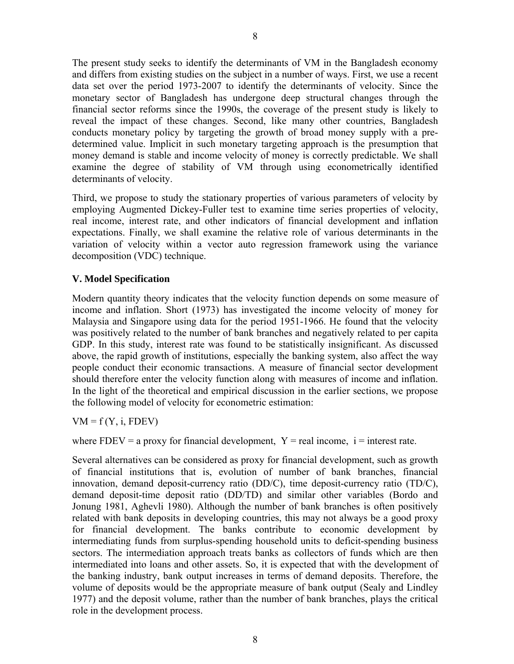The present study seeks to identify the determinants of VM in the Bangladesh economy and differs from existing studies on the subject in a number of ways. First, we use a recent data set over the period 1973-2007 to identify the determinants of velocity. Since the monetary sector of Bangladesh has undergone deep structural changes through the financial sector reforms since the 1990s, the coverage of the present study is likely to reveal the impact of these changes. Second, like many other countries, Bangladesh conducts monetary policy by targeting the growth of broad money supply with a predetermined value. Implicit in such monetary targeting approach is the presumption that money demand is stable and income velocity of money is correctly predictable. We shall examine the degree of stability of VM through using econometrically identified determinants of velocity.

Third, we propose to study the stationary properties of various parameters of velocity by employing Augmented Dickey-Fuller test to examine time series properties of velocity, real income, interest rate, and other indicators of financial development and inflation expectations. Finally, we shall examine the relative role of various determinants in the variation of velocity within a vector auto regression framework using the variance decomposition (VDC) technique.

## **V. Model Specification**

Modern quantity theory indicates that the velocity function depends on some measure of income and inflation. Short (1973) has investigated the income velocity of money for Malaysia and Singapore using data for the period 1951-1966. He found that the velocity was positively related to the number of bank branches and negatively related to per capita GDP. In this study, interest rate was found to be statistically insignificant. As discussed above, the rapid growth of institutions, especially the banking system, also affect the way people conduct their economic transactions. A measure of financial sector development should therefore enter the velocity function along with measures of income and inflation. In the light of the theoretical and empirical discussion in the earlier sections, we propose the following model of velocity for econometric estimation:

 $VM = f(Y, i, FDEV)$ 

where FDEV = a proxy for financial development,  $Y = real$  income,  $i =$  interest rate.

Several alternatives can be considered as proxy for financial development, such as growth of financial institutions that is, evolution of number of bank branches, financial innovation, demand deposit-currency ratio (DD/C), time deposit-currency ratio (TD/C), demand deposit-time deposit ratio (DD/TD) and similar other variables (Bordo and Jonung 1981, Aghevli 1980). Although the number of bank branches is often positively related with bank deposits in developing countries, this may not always be a good proxy for financial development. The banks contribute to economic development by intermediating funds from surplus-spending household units to deficit-spending business sectors. The intermediation approach treats banks as collectors of funds which are then intermediated into loans and other assets. So, it is expected that with the development of the banking industry, bank output increases in terms of demand deposits. Therefore, the volume of deposits would be the appropriate measure of bank output (Sealy and Lindley 1977) and the deposit volume, rather than the number of bank branches, plays the critical role in the development process.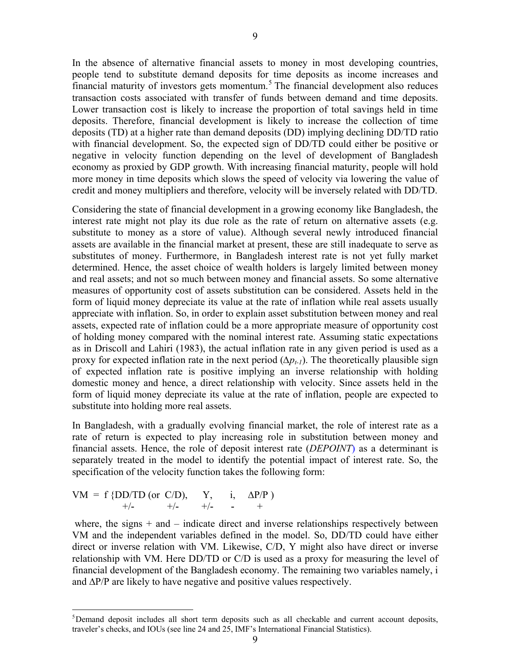<span id="page-8-0"></span>In the absence of alternative financial assets to money in most developing countries, people tend to substitute demand deposits for time deposits as income increases and financial maturity of investors gets momentum.<sup>[5](#page-8-0)</sup> The financial development also reduces transaction costs associated with transfer of funds between demand and time deposits. Lower transaction cost is likely to increase the proportion of total savings held in time deposits. Therefore, financial development is likely to increase the collection of time deposits (TD) at a higher rate than demand deposits (DD) implying declining DD/TD ratio with financial development. So, the expected sign of DD/TD could either be positive or negative in velocity function depending on the level of development of Bangladesh economy as proxied by GDP growth. With increasing financial maturity, people will hold more money in time deposits which slows the speed of velocity via lowering the value of credit and money multipliers and therefore, velocity will be inversely related with DD/TD.

Considering the state of financial development in a growing economy like Bangladesh, the interest rate might not play its due role as the rate of return on alternative assets (e.g. substitute to money as a store of value). Although several newly introduced financial assets are available in the financial market at present, these are still inadequate to serve as substitutes of money. Furthermore, in Bangladesh interest rate is not yet fully market determined. Hence, the asset choice of wealth holders is largely limited between money and real assets; and not so much between money and financial assets. So some alternative measures of opportunity cost of assets substitution can be considered. Assets held in the form of liquid money depreciate its value at the rate of inflation while real assets usually appreciate with inflation. So, in order to explain asset substitution between money and real assets, expected rate of inflation could be a more appropriate measure of opportunity cost of holding money compared with the nominal interest rate. Assuming static expectations as in Driscoll and Lahiri (1983), the actual inflation rate in any given period is used as a proxy for expected inflation rate in the next period  $(\Delta p_{t-1})$ . The theoretically plausible sign of expected inflation rate is positive implying an inverse relationship with holding domestic money and hence, a direct relationship with velocity. Since assets held in the form of liquid money depreciate its value at the rate of inflation, people are expected to substitute into holding more real assets.

In Bangladesh, with a gradually evolving financial market, the role of interest rate as a rate of return is expected to play increasing role in substitution between money and financial assets. Hence, the role of deposit interest rate (*DEPOINT*) as a determinant is separately treated in the model to identify the potential impact of interest rate. So, the specification of the velocity function takes the following form:

$$
VM = f \{DD/TD (or C/D), Y, i, \Delta P/P \}
$$
  
+/- +/- +/- +/- - +

 $\overline{a}$ 

where, the signs  $+$  and  $-$  indicate direct and inverse relationships respectively between VM and the independent variables defined in the model. So, DD/TD could have either direct or inverse relation with VM. Likewise, C/D, Y might also have direct or inverse relationship with VM. Here DD/TD or C/D is used as a proxy for measuring the level of financial development of the Bangladesh economy. The remaining two variables namely, i and ∆P/P are likely to have negative and positive values respectively.

<sup>&</sup>lt;sup>5</sup>Demand deposit includes all short term deposits such as all checkable and current account deposits, traveler's checks, and IOUs (see line 24 and 25, IMF's International Financial Statistics).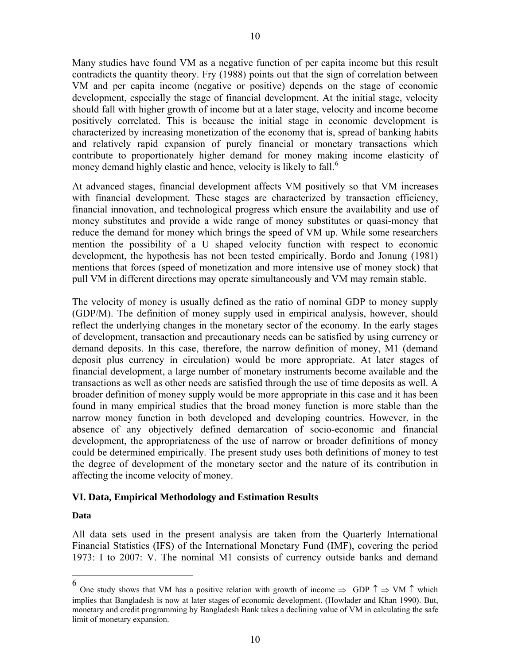<span id="page-9-0"></span>Many studies have found VM as a negative function of per capita income but this result contradicts the quantity theory. Fry (1988) points out that the sign of correlation between VM and per capita income (negative or positive) depends on the stage of economic development, especially the stage of financial development. At the initial stage, velocity should fall with higher growth of income but at a later stage, velocity and income become positively correlated. This is because the initial stage in economic development is characterized by increasing monetization of the economy that is, spread of banking habits and relatively rapid expansion of purely financial or monetary transactions which contribute to proportionately higher demand for money making income elasticity of money demand highly elastic and hence, velocity is likely to fall.<sup>[6](#page-9-0)</sup>

At advanced stages, financial development affects VM positively so that VM increases with financial development. These stages are characterized by transaction efficiency, financial innovation, and technological progress which ensure the availability and use of money substitutes and provide a wide range of money substitutes or quasi-money that reduce the demand for money which brings the speed of VM up. While some researchers mention the possibility of a U shaped velocity function with respect to economic development, the hypothesis has not been tested empirically. Bordo and Jonung (1981) mentions that forces (speed of monetization and more intensive use of money stock) that pull VM in different directions may operate simultaneously and VM may remain stable.

The velocity of money is usually defined as the ratio of nominal GDP to money supply (GDP/M). The definition of money supply used in empirical analysis, however, should reflect the underlying changes in the monetary sector of the economy. In the early stages of development, transaction and precautionary needs can be satisfied by using currency or demand deposits. In this case, therefore, the narrow definition of money, M1 (demand deposit plus currency in circulation) would be more appropriate. At later stages of financial development, a large number of monetary instruments become available and the transactions as well as other needs are satisfied through the use of time deposits as well. A broader definition of money supply would be more appropriate in this case and it has been found in many empirical studies that the broad money function is more stable than the narrow money function in both developed and developing countries. However, in the absence of any objectively defined demarcation of socio-economic and financial development, the appropriateness of the use of narrow or broader definitions of money could be determined empirically. The present study uses both definitions of money to test the degree of development of the monetary sector and the nature of its contribution in affecting the income velocity of money.

## **VI. Data, Empirical Methodology and Estimation Results**

#### **Data**

 $\overline{a}$ 

All data sets used in the present analysis are taken from the Quarterly International Financial Statistics (IFS) of the International Monetary Fund (IMF), covering the period 1973: I to 2007: V. The nominal M1 consists of currency outside banks and demand

<sup>6</sup> One study shows that VM has a positive relation with growth of income  $\Rightarrow$  GDP  $\uparrow \Rightarrow$  VM  $\uparrow$  which implies that Bangladesh is now at later stages of economic development. (Howlader and Khan 1990). But, monetary and credit programming by Bangladesh Bank takes a declining value of VM in calculating the safe limit of monetary expansion.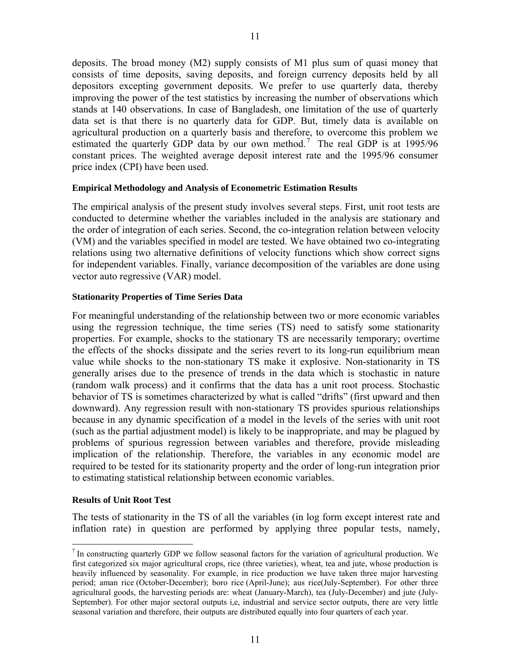<span id="page-10-0"></span>deposits. The broad money (M2) supply consists of M1 plus sum of quasi money that consists of time deposits, saving deposits, and foreign currency deposits held by all depositors excepting government deposits. We prefer to use quarterly data, thereby improving the power of the test statistics by increasing the number of observations which stands at 140 observations. In case of Bangladesh, one limitation of the use of quarterly data set is that there is no quarterly data for GDP. But, timely data is available on agricultural production on a quarterly basis and therefore, to overcome this problem we estimated the quarterly GDP data by our own method.<sup>[7](#page-10-0)</sup> The real GDP is at 1995/96 constant prices. The weighted average deposit interest rate and the 1995/96 consumer price index (CPI) have been used.

#### **Empirical Methodology and Analysis of Econometric Estimation Results**

The empirical analysis of the present study involves several steps. First, unit root tests are conducted to determine whether the variables included in the analysis are stationary and the order of integration of each series. Second, the co-integration relation between velocity (VM) and the variables specified in model are tested. We have obtained two co-integrating relations using two alternative definitions of velocity functions which show correct signs for independent variables. Finally, variance decomposition of the variables are done using vector auto regressive (VAR) model.

#### **Stationarity Properties of Time Series Data**

For meaningful understanding of the relationship between two or more economic variables using the regression technique, the time series (TS) need to satisfy some stationarity properties. For example, shocks to the stationary TS are necessarily temporary; overtime the effects of the shocks dissipate and the series revert to its long-run equilibrium mean value while shocks to the non-stationary TS make it explosive. Non-stationarity in TS generally arises due to the presence of trends in the data which is stochastic in nature (random walk process) and it confirms that the data has a unit root process. Stochastic behavior of TS is sometimes characterized by what is called "drifts" (first upward and then downward). Any regression result with non-stationary TS provides spurious relationships because in any dynamic specification of a model in the levels of the series with unit root (such as the partial adjustment model) is likely to be inappropriate, and may be plagued by problems of spurious regression between variables and therefore, provide misleading implication of the relationship. Therefore, the variables in any economic model are required to be tested for its stationarity property and the order of long-run integration prior to estimating statistical relationship between economic variables.

#### **Results of Unit Root Test**

 $\overline{a}$ 

The tests of stationarity in the TS of all the variables (in log form except interest rate and inflation rate) in question are performed by applying three popular tests, namely,

 $<sup>7</sup>$  In constructing quarterly GDP we follow seasonal factors for the variation of agricultural production. We</sup> first categorized six major agricultural crops, rice (three varieties), wheat, tea and jute, whose production is heavily influenced by seasonality. For example, in rice production we have taken three major harvesting period; aman rice (October-December); boro rice (April-June); aus rice(July-September). For other three agricultural goods, the harvesting periods are: wheat (January-March), tea (July-December) and jute (July-September). For other major sectoral outputs i,e, industrial and service sector outputs, there are very little seasonal variation and therefore, their outputs are distributed equally into four quarters of each year.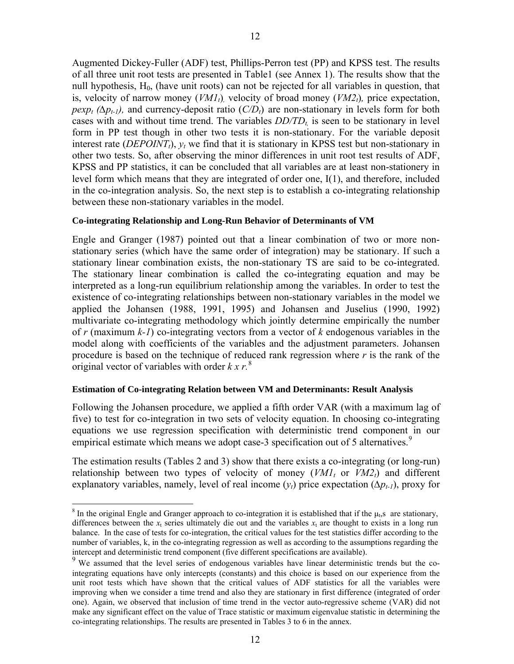<span id="page-11-0"></span>Augmented Dickey-Fuller (ADF) test, Phillips-Perron test (PP) and KPSS test. The results of all three unit root tests are presented in Table1 (see Annex 1). The results show that the null hypothesis,  $H_0$ , (have unit roots) can not be rejected for all variables in question, that is, velocity of narrow money  $(VM1<sub>t</sub>)$ , velocity of broad money  $(VM2<sub>t</sub>)$ , price expectation, *pexp<sub>t</sub>* ( $\Delta p_{t-1}$ ), and currency-deposit ratio ( $C/D_t$ ) are non-stationary in levels form for both cases with and without time trend. The variables  $DD/TD<sub>t</sub>$  is seen to be stationary in level form in PP test though in other two tests it is non-stationary. For the variable deposit interest rate (*DEPOINT<sub>t</sub>*),  $y_t$  we find that it is stationary in KPSS test but non-stationary in other two tests. So, after observing the minor differences in unit root test results of ADF, KPSS and PP statistics, it can be concluded that all variables are at least non-stationery in level form which means that they are integrated of order one, I(1), and therefore, included in the co-integration analysis. So, the next step is to establish a co-integrating relationship between these non-stationary variables in the model.

#### **Co-integrating Relationship and Long-Run Behavior of Determinants of VM**

Engle and Granger (1987) pointed out that a linear combination of two or more nonstationary series (which have the same order of integration) may be stationary. If such a stationary linear combination exists, the non-stationary TS are said to be co-integrated. The stationary linear combination is called the co-integrating equation and may be interpreted as a long-run equilibrium relationship among the variables. In order to test the existence of co-integrating relationships between non-stationary variables in the model we applied the Johansen (1988, 1991, 1995) and Johansen and Juselius (1990, 1992) multivariate co-integrating methodology which jointly determine empirically the number of *r* (maximum *k-1*) co-integrating vectors from a vector of *k* endogenous variables in the model along with coefficients of the variables and the adjustment parameters. Johansen procedure is based on the technique of reduced rank regression where *r* is the rank of the original vector of variables with order  $k x r<sup>8</sup>$  $k x r<sup>8</sup>$  $k x r<sup>8</sup>$ .

#### **Estimation of Co-integrating Relation between VM and Determinants: Result Analysis**

Following the Johansen procedure, we applied a fifth order VAR (with a maximum lag of five) to test for co-integration in two sets of velocity equation. In choosing co-integrating equations we use regression specification with deterministic trend component in our empirical estimate which means we adopt case-3 specification out of 5 alternatives.<sup>[9](#page-11-0)</sup>

The estimation results (Tables 2 and 3) show that there exists a co-integrating (or long-run) relationship between two types of velocity of money  $(VMI_t$  or  $VMI_t$ ) and different explanatory variables, namely, level of real income  $(y_t)$  price expectation  $(\Delta p_{t-1})$ , proxy for

<sup>&</sup>lt;sup>8</sup> In the original Engle and Granger approach to co-integration it is established that if the  $\mu$ <sub>t</sub>, s are stationary, differences between the  $x_t$  series ultimately die out and the variables  $x_t$  are thought to exists in a long run balance. In the case of tests for co-integration, the critical values for the test statistics differ according to the number of variables, k, in the co-integrating regression as well as according to the assumptions regarding the intercept and deterministic trend component (five different specifications are available).

<sup>&</sup>lt;sup>9</sup> We assumed that the level series of endogenous variables have linear deterministic trends but the cointegrating equations have only intercepts (constants) and this choice is based on our experience from the unit root tests which have shown that the critical values of ADF statistics for all the variables were improving when we consider a time trend and also they are stationary in first difference (integrated of order one). Again, we observed that inclusion of time trend in the vector auto-regressive scheme (VAR) did not make any significant effect on the value of Trace statistic or maximum eigenvalue statistic in determining the co-integrating relationships. The results are presented in Tables 3 to 6 in the annex.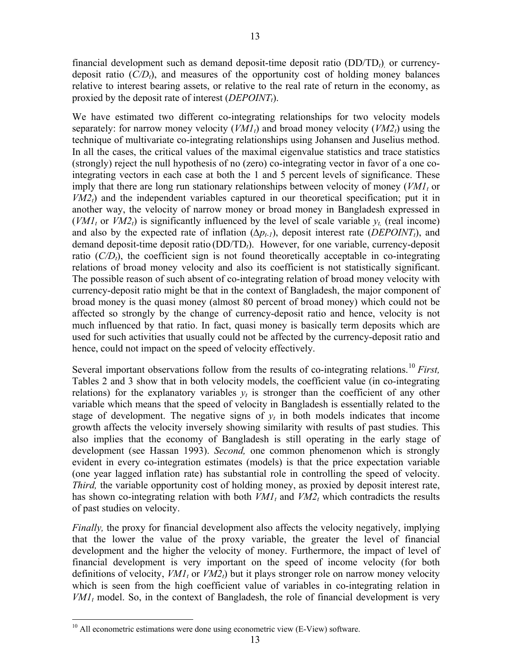<span id="page-12-0"></span>financial development such as demand deposit-time deposit ratio (DD/TD*t*)*,* or currencydeposit ratio  $(C/D<sub>t</sub>)$ , and measures of the opportunity cost of holding money balances relative to interest bearing assets, or relative to the real rate of return in the economy, as proxied by the deposit rate of interest (*DEPOINT*<sub>t</sub>).

13

We have estimated two different co-integrating relationships for two velocity models separately: for narrow money velocity  $(VMI_t)$  and broad money velocity  $(VM2_t)$  using the technique of multivariate co-integrating relationships using Johansen and Juselius method. In all the cases, the critical values of the maximal eigenvalue statistics and trace statistics (strongly) reject the null hypothesis of no (zero) co-integrating vector in favor of a one cointegrating vectors in each case at both the 1 and 5 percent levels of significance. These imply that there are long run stationary relationships between velocity of money  $(VMI<sub>t</sub>$  or  $VM2<sub>t</sub>$ ) and the independent variables captured in our theoretical specification; put it in another way, the velocity of narrow money or broad money in Bangladesh expressed in  $(VMI_t$  or  $VM2_t$ ) is significantly influenced by the level of scale variable  $y_t$  (real income) and also by the expected rate of inflation  $(\Delta p_{t-1})$ , deposit interest rate (*DEPOINT<sub>t</sub>*), and demand deposit-time deposit ratio (DD/TD*t*). However, for one variable, currency-deposit ratio  $(C/D<sub>t</sub>)$ , the coefficient sign is not found theoretically acceptable in co-integrating relations of broad money velocity and also its coefficient is not statistically significant. The possible reason of such absent of co-integrating relation of broad money velocity with currency-deposit ratio might be that in the context of Bangladesh, the major component of broad money is the quasi money (almost 80 percent of broad money) which could not be affected so strongly by the change of currency-deposit ratio and hence, velocity is not much influenced by that ratio. In fact, quasi money is basically term deposits which are used for such activities that usually could not be affected by the currency-deposit ratio and hence, could not impact on the speed of velocity effectively.

Several important observations follow from the results of co-integrating relations.<sup>[10](#page-12-0)</sup> *First*, Tables 2 and 3 show that in both velocity models, the coefficient value (in co-integrating relations) for the explanatory variables  $y_t$  is stronger than the coefficient of any other variable which means that the speed of velocity in Bangladesh is essentially related to the stage of development. The negative signs of  $y_t$  in both models indicates that income growth affects the velocity inversely showing similarity with results of past studies. This also implies that the economy of Bangladesh is still operating in the early stage of development (see Hassan 1993). *Second,* one common phenomenon which is strongly evident in every co-integration estimates (models) is that the price expectation variable (one year lagged inflation rate) has substantial role in controlling the speed of velocity. *Third*, the variable opportunity cost of holding money, as proxied by deposit interest rate, has shown co-integrating relation with both  $VM_1$  and  $VM_2$  which contradicts the results of past studies on velocity.

*Finally*, the proxy for financial development also affects the velocity negatively, implying that the lower the value of the proxy variable, the greater the level of financial development and the higher the velocity of money. Furthermore, the impact of level of financial development is very important on the speed of income velocity (for both definitions of velocity,  $VMI_t$  or  $VM2_t$ ) but it plays stronger role on narrow money velocity which is seen from the high coefficient value of variables in co-integrating relation in  $VMI_t$  model. So, in the context of Bangladesh, the role of financial development is very

 $10$  All econometric estimations were done using econometric view (E-View) software.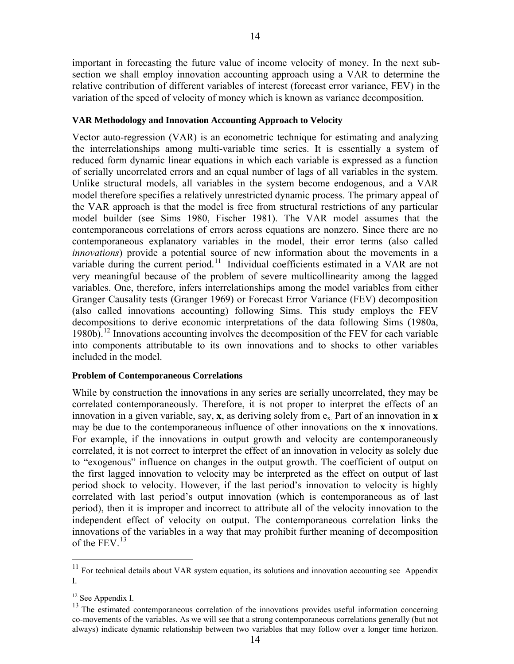14

<span id="page-13-0"></span>important in forecasting the future value of income velocity of money. In the next subsection we shall employ innovation accounting approach using a VAR to determine the relative contribution of different variables of interest (forecast error variance, FEV) in the variation of the speed of velocity of money which is known as variance decomposition.

## **VAR Methodology and Innovation Accounting Approach to Velocity**

Vector auto-regression (VAR) is an econometric technique for estimating and analyzing the interrelationships among multi-variable time series. It is essentially a system of reduced form dynamic linear equations in which each variable is expressed as a function of serially uncorrelated errors and an equal number of lags of all variables in the system. Unlike structural models, all variables in the system become endogenous, and a VAR model therefore specifies a relatively unrestricted dynamic process. The primary appeal of the VAR approach is that the model is free from structural restrictions of any particular model builder (see Sims 1980, Fischer 1981). The VAR model assumes that the contemporaneous correlations of errors across equations are nonzero. Since there are no contemporaneous explanatory variables in the model, their error terms (also called *innovations*) provide a potential source of new information about the movements in a variable during the current period.<sup>[11](#page-13-0)</sup> Individual coefficients estimated in a VAR are not very meaningful because of the problem of severe multicollinearity among the lagged variables. One, therefore, infers interrelationships among the model variables from either Granger Causality tests (Granger 1969) or Forecast Error Variance (FEV) decomposition (also called innovations accounting) following Sims. This study employs the FEV decompositions to derive economic interpretations of the data following Sims (1980a, 1980b).<sup>[12](#page-13-0)</sup> Innovations accounting involves the decomposition of the FEV for each variable into components attributable to its own innovations and to shocks to other variables included in the model.

## **Problem of Contemporaneous Correlations**

While by construction the innovations in any series are serially uncorrelated, they may be correlated contemporaneously. Therefore, it is not proper to interpret the effects of an innovation in a given variable, say, **x**, as deriving solely from  $e_x$ . Part of an innovation in **x** may be due to the contemporaneous influence of other innovations on the **x** innovations. For example, if the innovations in output growth and velocity are contemporaneously correlated, it is not correct to interpret the effect of an innovation in velocity as solely due to "exogenous" influence on changes in the output growth. The coefficient of output on the first lagged innovation to velocity may be interpreted as the effect on output of last period shock to velocity. However, if the last period's innovation to velocity is highly correlated with last period's output innovation (which is contemporaneous as of last period), then it is improper and incorrect to attribute all of the velocity innovation to the independent effect of velocity on output. The contemporaneous correlation links the innovations of the variables in a way that may prohibit further meaning of decomposition of the FEV.<sup>[13](#page-13-0)</sup>

 $11$  For technical details about VAR system equation, its solutions and innovation accounting see Appendix I.

<sup>&</sup>lt;sup>12</sup> See Appendix I.

<sup>&</sup>lt;sup>13</sup> The estimated contemporaneous correlation of the innovations provides useful information concerning co-movements of the variables. As we will see that a strong contemporaneous correlations generally (but not always) indicate dynamic relationship between two variables that may follow over a longer time horizon.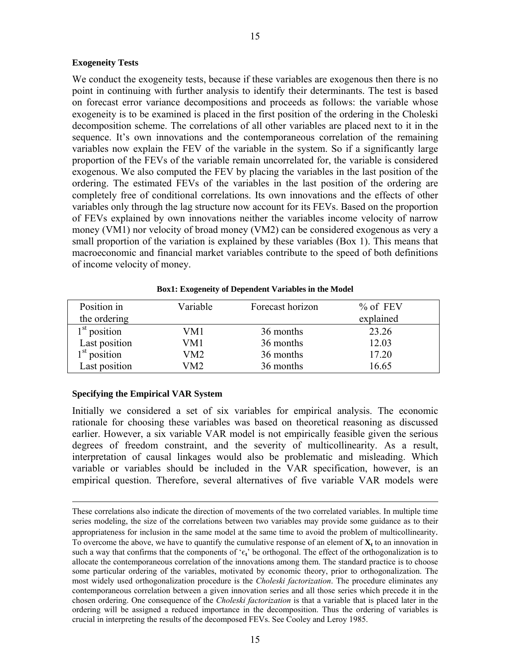#### **Exogeneity Tests**

We conduct the exogeneity tests, because if these variables are exogenous then there is no point in continuing with further analysis to identify their determinants. The test is based on forecast error variance decompositions and proceeds as follows: the variable whose exogeneity is to be examined is placed in the first position of the ordering in the Choleski decomposition scheme. The correlations of all other variables are placed next to it in the sequence. It's own innovations and the contemporaneous correlation of the remaining variables now explain the FEV of the variable in the system. So if a significantly large proportion of the FEVs of the variable remain uncorrelated for, the variable is considered exogenous. We also computed the FEV by placing the variables in the last position of the ordering. The estimated FEVs of the variables in the last position of the ordering are completely free of conditional correlations. Its own innovations and the effects of other variables only through the lag structure now account for its FEVs. Based on the proportion of FEVs explained by own innovations neither the variables income velocity of narrow money (VM1) nor velocity of broad money (VM2) can be considered exogenous as very a small proportion of the variation is explained by these variables (Box 1). This means that macroeconomic and financial market variables contribute to the speed of both definitions of income velocity of money.

| Position in    | Variable | Forecast horizon | $%$ of FEV |
|----------------|----------|------------------|------------|
| the ordering   |          |                  | explained  |
| $1st$ position | VM1      | 36 months        | 23.26      |
| Last position  | VM1      | 36 months        | 12.03      |
| $1st$ position | VM2      | 36 months        | 17.20      |
| Last position  | VM2.     | 36 months        | 16.65      |

**Box1: Exogeneity of Dependent Variables in the Model** 

#### **Specifying the Empirical VAR System**

Initially we considered a set of six variables for empirical analysis. The economic rationale for choosing these variables was based on theoretical reasoning as discussed earlier. However, a six variable VAR model is not empirically feasible given the serious degrees of freedom constraint, and the severity of multicollinearity. As a result, interpretation of causal linkages would also be problematic and misleading. Which variable or variables should be included in the VAR specification, however, is an empirical question. Therefore, several alternatives of five variable VAR models were

These correlations also indicate the direction of movements of the two correlated variables. In multiple time series modeling, the size of the correlations between two variables may provide some guidance as to their appropriateness for inclusion in the same model at the same time to avoid the problem of multicollinearity. To overcome the above, we have to quantify the cumulative response of an element of  $\mathbf{X}_t$  to an innovation in such a way that confirms that the components of ' $\epsilon_t$ ' be orthogonal. The effect of the orthogonalization is to allocate the contemporaneous correlation of the innovations among them. The standard practice is to choose some particular ordering of the variables, motivated by economic theory, prior to orthogonalization. The most widely used orthogonalization procedure is the *Choleski factorization*. The procedure eliminates any contemporaneous correlation between a given innovation series and all those series which precede it in the chosen ordering. One consequence of the *Choleski factorization* is that a variable that is placed later in the ordering will be assigned a reduced importance in the decomposition. Thus the ordering of variables is crucial in interpreting the results of the decomposed FEVs. See Cooley and Leroy 1985.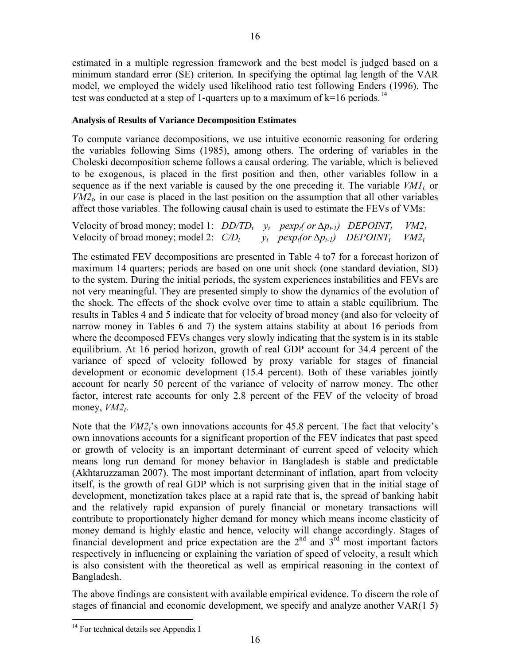<span id="page-15-0"></span>estimated in a multiple regression framework and the best model is judged based on a minimum standard error (SE) criterion. In specifying the optimal lag length of the VAR model, we employed the widely used likelihood ratio test following Enders (1996). The test was conducted at a step of 1-quarters up to a maximum of  $k=16$  periods.<sup>[14](#page-15-0)</sup>

## **Analysis of Results of Variance Decomposition Estimates**

To compute variance decompositions, we use intuitive economic reasoning for ordering the variables following Sims (1985), among others. The ordering of variables in the Choleski decomposition scheme follows a causal ordering. The variable, which is believed to be exogenous, is placed in the first position and then, other variables follow in a sequence as if the next variable is caused by the one preceding it. The variable  $VMI_t$  or  $VM2<sub>t</sub>$ , in our case is placed in the last position on the assumption that all other variables affect those variables. The following causal chain is used to estimate the FEVs of VMs:

| Velocity of broad money; model 1: $DD/TD_t$ $y_t$ $pexp_t($ or $\Delta p_{t-1})$ $DEPOINT_t$ $VM2_t$ |  |                                                                                      |  |
|------------------------------------------------------------------------------------------------------|--|--------------------------------------------------------------------------------------|--|
| Velocity of broad money; model 2: $C/D_t$                                                            |  | $y_t$ pexp <sub>t</sub> (or $\Delta p_{t-1}$ ) DEPOINT <sub>t</sub> VM2 <sub>t</sub> |  |

The estimated FEV decompositions are presented in Table 4 to7 for a forecast horizon of maximum 14 quarters; periods are based on one unit shock (one standard deviation, SD) to the system. During the initial periods, the system experiences instabilities and FEVs are not very meaningful. They are presented simply to show the dynamics of the evolution of the shock. The effects of the shock evolve over time to attain a stable equilibrium. The results in Tables 4 and 5 indicate that for velocity of broad money (and also for velocity of narrow money in Tables 6 and 7) the system attains stability at about 16 periods from where the decomposed FEVs changes very slowly indicating that the system is in its stable equilibrium. At 16 period horizon, growth of real GDP account for 34.4 percent of the variance of speed of velocity followed by proxy variable for stages of financial development or economic development (15.4 percent). Both of these variables jointly account for nearly 50 percent of the variance of velocity of narrow money. The other factor, interest rate accounts for only 2.8 percent of the FEV of the velocity of broad money,  $VM2_t$ .

Note that the *VM2*<sup>2</sup>'s own innovations accounts for 45.8 percent. The fact that velocity's own innovations accounts for a significant proportion of the FEV indicates that past speed or growth of velocity is an important determinant of current speed of velocity which means long run demand for money behavior in Bangladesh is stable and predictable (Akhtaruzzaman 2007). The most important determinant of inflation, apart from velocity itself, is the growth of real GDP which is not surprising given that in the initial stage of development, monetization takes place at a rapid rate that is, the spread of banking habit and the relatively rapid expansion of purely financial or monetary transactions will contribute to proportionately higher demand for money which means income elasticity of money demand is highly elastic and hence, velocity will change accordingly. Stages of financial development and price expectation are the  $2<sup>nd</sup>$  and  $3<sup>rd</sup>$  most important factors respectively in influencing or explaining the variation of speed of velocity, a result which is also consistent with the theoretical as well as empirical reasoning in the context of Bangladesh.

The above findings are consistent with available empirical evidence. To discern the role of stages of financial and economic development, we specify and analyze another VAR(1 5)

 $14$  For technical details see Appendix I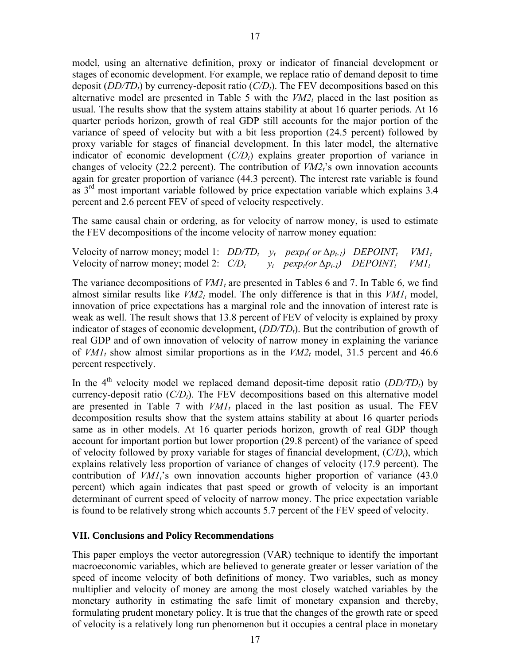model, using an alternative definition, proxy or indicator of financial development or stages of economic development. For example, we replace ratio of demand deposit to time deposit  $(DD/TD_t)$  by currency-deposit ratio  $(C/D_t)$ . The FEV decompositions based on this alternative model are presented in Table 5 with the  $VM2<sub>t</sub>$  placed in the last position as usual. The results show that the system attains stability at about 16 quarter periods. At 16 quarter periods horizon, growth of real GDP still accounts for the major portion of the variance of speed of velocity but with a bit less proportion (24.5 percent) followed by proxy variable for stages of financial development. In this later model, the alternative indicator of economic development  $(C/D<sub>t</sub>)$  explains greater proportion of variance in changes of velocity (22.2 percent). The contribution of  $VM2<sub>t</sub>$ 's own innovation accounts again for greater proportion of variance (44.3 percent). The interest rate variable is found as 3<sup>rd</sup> most important variable followed by price expectation variable which explains 3.4 percent and 2.6 percent FEV of speed of velocity respectively.

The same causal chain or ordering, as for velocity of narrow money, is used to estimate the FEV decompositions of the income velocity of narrow money equation:

Velocity of narrow money; model 1:  $DD/TD_t$   $y_t$   $pexp_t($  or  $\Delta p_{t-1})$   $DEPOINT_t$   $VM1_t$ Velocity of narrow money; model 2:  $C/D_t$  *y<sub>t</sub>* pexp<sub>t</sub>(or  $\Delta p_{t-1}$ ) DEPOINT<sub>t</sub> VM1<sub>t</sub>

The variance decompositions of *VM1*, are presented in Tables 6 and 7. In Table 6, we find almost similar results like  $VM2<sub>t</sub>$  model. The only difference is that in this  $VM1<sub>t</sub>$  model, innovation of price expectations has a marginal role and the innovation of interest rate is weak as well. The result shows that 13.8 percent of FEV of velocity is explained by proxy indicator of stages of economic development,  $(DD/TD<sub>t</sub>)$ . But the contribution of growth of real GDP and of own innovation of velocity of narrow money in explaining the variance of  $VMI_t$  show almost similar proportions as in the  $VMI_t$  model, 31.5 percent and 46.6 percent respectively.

In the  $4<sup>th</sup>$  velocity model we replaced demand deposit-time deposit ratio (*DD/TD*<sub>t</sub>) by currency-deposit ratio  $(C/D<sub>t</sub>)$ . The FEV decompositions based on this alternative model are presented in Table 7 with  $VMI_t$  placed in the last position as usual. The FEV decomposition results show that the system attains stability at about 16 quarter periods same as in other models. At 16 quarter periods horizon, growth of real GDP though account for important portion but lower proportion (29.8 percent) of the variance of speed of velocity followed by proxy variable for stages of financial development,  $(C/D<sub>t</sub>)$ , which explains relatively less proportion of variance of changes of velocity (17.9 percent). The contribution of  $VMI_t$ 's own innovation accounts higher proportion of variance  $(43.0)$ percent) which again indicates that past speed or growth of velocity is an important determinant of current speed of velocity of narrow money. The price expectation variable is found to be relatively strong which accounts 5.7 percent of the FEV speed of velocity.

#### **VII. Conclusions and Policy Recommendations**

This paper employs the vector autoregression (VAR) technique to identify the important macroeconomic variables, which are believed to generate greater or lesser variation of the speed of income velocity of both definitions of money. Two variables, such as money multiplier and velocity of money are among the most closely watched variables by the monetary authority in estimating the safe limit of monetary expansion and thereby, formulating prudent monetary policy. It is true that the changes of the growth rate or speed of velocity is a relatively long run phenomenon but it occupies a central place in monetary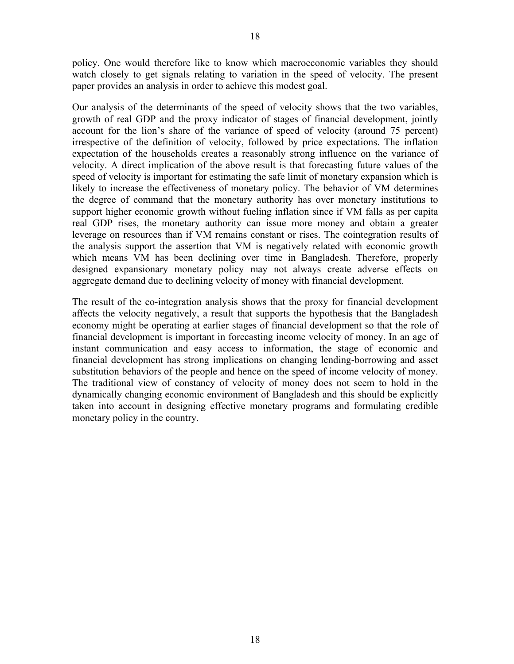policy. One would therefore like to know which macroeconomic variables they should watch closely to get signals relating to variation in the speed of velocity. The present paper provides an analysis in order to achieve this modest goal.

Our analysis of the determinants of the speed of velocity shows that the two variables, growth of real GDP and the proxy indicator of stages of financial development, jointly account for the lion's share of the variance of speed of velocity (around 75 percent) irrespective of the definition of velocity, followed by price expectations. The inflation expectation of the households creates a reasonably strong influence on the variance of velocity. A direct implication of the above result is that forecasting future values of the speed of velocity is important for estimating the safe limit of monetary expansion which is likely to increase the effectiveness of monetary policy. The behavior of VM determines the degree of command that the monetary authority has over monetary institutions to support higher economic growth without fueling inflation since if VM falls as per capita real GDP rises, the monetary authority can issue more money and obtain a greater leverage on resources than if VM remains constant or rises. The cointegration results of the analysis support the assertion that VM is negatively related with economic growth which means VM has been declining over time in Bangladesh. Therefore, properly designed expansionary monetary policy may not always create adverse effects on aggregate demand due to declining velocity of money with financial development.

The result of the co-integration analysis shows that the proxy for financial development affects the velocity negatively, a result that supports the hypothesis that the Bangladesh economy might be operating at earlier stages of financial development so that the role of financial development is important in forecasting income velocity of money. In an age of instant communication and easy access to information, the stage of economic and financial development has strong implications on changing lending-borrowing and asset substitution behaviors of the people and hence on the speed of income velocity of money. The traditional view of constancy of velocity of money does not seem to hold in the dynamically changing economic environment of Bangladesh and this should be explicitly taken into account in designing effective monetary programs and formulating credible monetary policy in the country.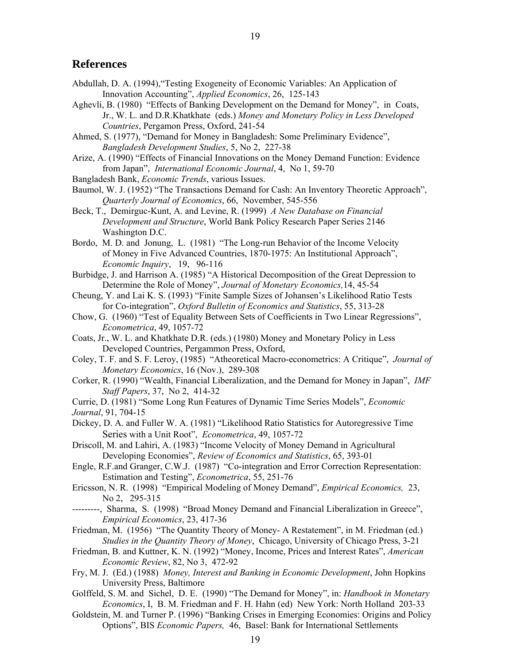19

### **References**

- Abdullah, D. A. (1994),"Testing Exogeneity of Economic Variables: An Application of Innovation Accounting", *Applied Economics*, 26, 125-143
- Aghevli, B. (1980) "Effects of Banking Development on the Demand for Money", in Coats, Jr., W. L. and D.R.Khatkhate (eds.) *Money and Monetary Policy in Less Developed Countries*, Pergamon Press, Oxford, 241-54
- Ahmed, S. (1977), "Demand for Money in Bangladesh: Some Preliminary Evidence", *Bangladesh Development Studies*, 5, No 2, 227-38
- Arize, A. (1990) "Effects of Financial Innovations on the Money Demand Function: Evidence from Japan", *International Economic Journal*, 4, No 1, 59-70
- Bangladesh Bank, *Economic Trends*, various Issues.
- Baumol, W. J. (1952) "The Transactions Demand for Cash: An Inventory Theoretic Approach", *Quarterly Journal of Economics*, 66, November, 545-556
- Beck, T., Demirguc-Kunt, A. and Levine, R. (1999) *A New Database on Financial Development and Structure*, World Bank Policy Research Paper Series 2146 Washington D.C.
- Bordo, M. D. and Jonung, L. (1981) "The Long-run Behavior of the Income Velocity of Money in Five Advanced Countries, 1870-1975: An Institutional Approach", *Economic Inquiry*, 19, 96-116
- Burbidge, J. and Harrison A. (1985) "A Historical Decomposition of the Great Depression to Determine the Role of Money", *Journal of Monetary Economics,*14, 45-54
- Cheung, Y. and Lai K. S. (1993) "Finite Sample Sizes of Johansen's Likelihood Ratio Tests for Co-integration", *Oxford Bulletin of Economics and Statistics*, 55, 313-28
- Chow, G. (1960) "Test of Equality Between Sets of Coefficients in Two Linear Regressions", *Econometrica*, 49, 1057-72
- Coats, Jr., W. L. and Khatkhate D.R. (eds.) (1980) Money and Monetary Policy in Less Developed Countries, Pergammon Press, Oxford,
- Coley, T. F. and S. F. Leroy, (1985) "Atheoretical Macro-econometrics: A Critique", *Journal of Monetary Economics*, 16 (Nov.), 289-308
- Corker, R. (1990) "Wealth, Financial Liberalization, and the Demand for Money in Japan", *IMF Staff Papers*, 37, No 2, 414-32
- Currie, D. (1981) "Some Long Run Features of Dynamic Time Series Models", *Economic*

*Journal*, 91, 704-15

- Dickey, D. A. and Fuller W. A. (1981) "Likelihood Ratio Statistics for Autoregressive Time Series with a Unit Root", *Econometrica*, 49, 1057-72
- Driscoll, M. and Lahiri, A. (1983) "Income Velocity of Money Demand in Agricultural Developing Economies", *Review of Economics and Statistics*, 65, 393-01
- Engle, R.F.and Granger, C.W.J. (1987) "Co-integration and Error Correction Representation: Estimation and Testing", *Econometrica*, 55, 251-76
- Ericsson, N. R. (1998) "Empirical Modeling of Money Demand", *Empirical Economics,* 23, No 2, 295-315
- ---------, Sharma, S. (1998) "Broad Money Demand and Financial Liberalization in Greece", *Empirical Economics*, 23, 417-36
- Friedman, M. (1956) "The Quantity Theory of Money- A Restatement", in M. Friedman (ed.) *Studies in the Quantity Theory of Money*, Chicago, University of Chicago Press, 3-21
- Friedman, B. and Kuttner, K. N. (1992) "Money, Income, Prices and Interest Rates", *American Economic Review*, 82, No 3, 472-92
- Fry, M. J. (Ed.) (1988) *Money, Interest and Banking in Economic Development*, John Hopkins University Press, Baltimore
- Golffeld, S. M. and Sichel, D. E. (1990) "The Demand for Money", in: *Handbook in Monetary Economics*, I, B. M. Friedman and F. H. Hahn (ed) New York: North Holland 203-33
- Goldstein, M. and Turner P. (1996) "Banking Crises in Emerging Economies: Origins and Policy Options", BIS *Economic Papers,* 46, Basel: Bank for International Settlements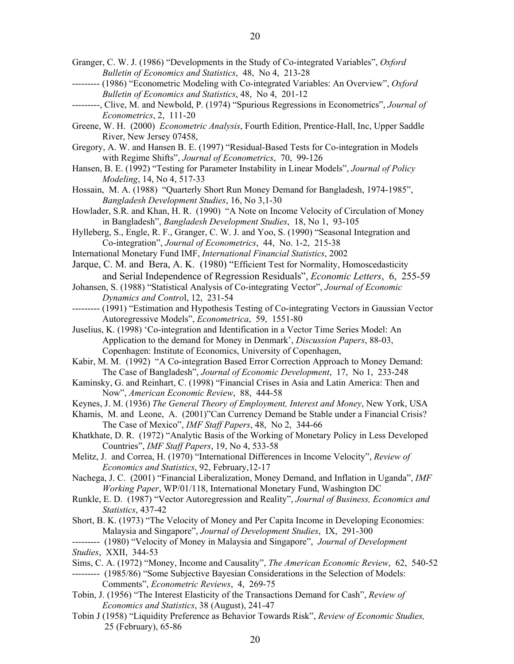- Granger, C. W. J. (1986) "Developments in the Study of Co-integrated Variables", *Oxford Bulletin of Economics and Statistics*, 48, No 4, 213-28
- --------- (1986) "Econometric Modeling with Co-integrated Variables: An Overview", *Oxford Bulletin of Economics and Statistics*, 48, No 4, 201-12
- ---------, Clive, M. and Newbold, P. (1974) "Spurious Regressions in Econometrics", *Journal of Econometrics*, 2, 111-20
- Greene, W. H. (2000) *Econometric Analysis*, Fourth Edition, Prentice-Hall, Inc, Upper Saddle River, New Jersey 07458,
- Gregory, A. W. and Hansen B. E. (1997) "Residual-Based Tests for Co-integration in Models with Regime Shifts", *Journal of Econometrics*, 70, 99-126
- Hansen, B. E. (1992) "Testing for Parameter Instability in Linear Models", *Journal of Policy Modeling*, 14, No 4, 517-33
- Hossain, M. A. (1988) "Quarterly Short Run Money Demand for Bangladesh, 1974-1985", *Bangladesh Development Studies*, 16, No 3,1-30
- Howlader, S.R. and Khan, H. R. (1990) "A Note on Income Velocity of Circulation of Money in Bangladesh", *Bangladesh Development Studies*, 18, No 1, 93-105
- Hylleberg, S., Engle, R. F., Granger, C. W. J. and Yoo, S. (1990) "Seasonal Integration and Co-integration", *Journal of Econometrics*, 44, No. 1-2, 215-38
- International Monetary Fund IMF, *International Financial Statistics*, 2002
- Jarque, C. M. and Bera, A. K. (1980) "Efficient Test for Normality, Homoscedasticity and Serial Independence of Regression Residuals", *Economic Letters*, 6, 255-59
- Johansen, S. (1988) "Statistical Analysis of Co-integrating Vector", *Journal of Economic Dynamics and Contro*l, 12, 231-54
- --------- (1991) "Estimation and Hypothesis Testing of Co-integrating Vectors in Gaussian Vector Autoregressive Models", *Econometrica*, 59, 1551-80
- Juselius, K. (1998) 'Co-integration and Identification in a Vector Time Series Model: An Application to the demand for Money in Denmark', *Discussion Papers*, 88-03, Copenhagen: Institute of Economics, University of Copenhagen,
- Kabir, M. M. (1992) "A Co-integration Based Error Correction Approach to Money Demand: The Case of Bangladesh", *Journal of Economic Development*, 17, No 1, 233-248
- Kaminsky, G. and Reinhart, C. (1998) "Financial Crises in Asia and Latin America: Then and Now", *American Economic Review*, 88, 444-58
- Keynes, J. M. (1936) *The General Theory of Employment, Interest and Money*, New York, USA
- Khamis, M. and Leone, A. (2001)"Can Currency Demand be Stable under a Financial Crisis? The Case of Mexico", *IMF Staff Papers*, 48, No 2, 344-66
- Khatkhate, D. R. (1972) "Analytic Basis of the Working of Monetary Policy in Less Developed Countries", *IMF Staff Papers*, 19, No 4, 533-58
- Melitz, J. and Correa, H. (1970) "International Differences in Income Velocity", *Review of Economics and Statistics*, 92, February,12-17
- Nachega, J. C. (2001) "Financial Liberalization, Money Demand, and Inflation in Uganda", *IMF Working Paper*, WP/01/118, International Monetary Fund, Washington DC
- Runkle, E. D. (1987) "Vector Autoregression and Reality", *Journal of Business, Economics and Statistics*, 437-42
- Short, B. K. (1973) "The Velocity of Money and Per Capita Income in Developing Economies: Malaysia and Singapore", *Journal of Development Studies*, IX, 291-300

--------- (1980) "Velocity of Money in Malaysia and Singapore", *Journal of Development Studies*, XXII, 344-53

- Sims, C. A. (1972) "Money, Income and Causality", *The American Economic Review*, 62, 540-52
- --------- (1985/86) "Some Subjective Bayesian Considerations in the Selection of Models: Comments", *Econometric Reviews*, 4, 269-75
- Tobin, J. (1956) "The Interest Elasticity of the Transactions Demand for Cash", *Review of Economics and Statistics*, 38 (August), 241-47
- Tobin J (1958) "Liquidity Preference as Behavior Towards Risk", *Review of Economic Studies,* 25 (February), 65-86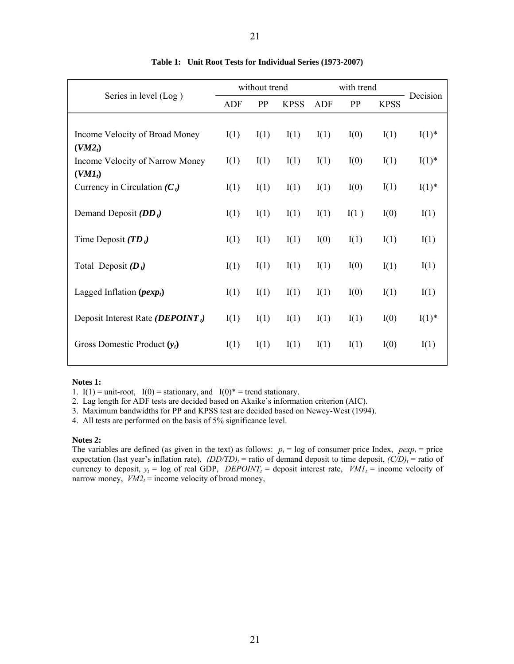| Series in level (Log)                                 |      | without trend |             | with trend |      |             | Decision |
|-------------------------------------------------------|------|---------------|-------------|------------|------|-------------|----------|
|                                                       | ADF  | PP            | <b>KPSS</b> | <b>ADF</b> | PP   | <b>KPSS</b> |          |
|                                                       |      |               |             |            |      |             |          |
| Income Velocity of Broad Money<br>(VM2 <sub>t</sub> ) | I(1) | I(1)          | I(1)        | I(1)       | I(0) | I(1)        | $I(1)^*$ |
| Income Velocity of Narrow Money                       | I(1) | I(1)          | I(1)        | I(1)       | I(0) | I(1)        | $I(1)^*$ |
| $(VMI_t)$                                             |      |               |             |            |      |             |          |
| Currency in Circulation $(C_t)$                       | I(1) | I(1)          | I(1)        | I(1)       | I(0) | I(1)        | $I(1)^*$ |
| Demand Deposit $(DD_t)$                               | I(1) | I(1)          | I(1)        | I(1)       | I(1) | I(0)        | I(1)     |
| Time Deposit $(TD_t)$                                 | I(1) | I(1)          | I(1)        | I(0)       | I(1) | I(1)        | I(1)     |
| Total Deposit $(D_t)$                                 | I(1) | I(1)          | I(1)        | I(1)       | I(0) | I(1)        | I(1)     |
| Lagged Inflation $(\mathit{pexp}_t)$                  | I(1) | I(1)          | I(1)        | I(1)       | I(0) | I(1)        | I(1)     |
| Deposit Interest Rate ( <i>DEPOINT</i> <sub>t</sub> ) | I(1) | I(1)          | I(1)        | I(1)       | I(1) | I(0)        | $I(1)^*$ |
| Gross Domestic Product $(y_t)$                        | I(1) | I(1)          | I(1)        | I(1)       | I(1) | I(0)        | I(1)     |
|                                                       |      |               |             |            |      |             |          |

#### **Table 1: Unit Root Tests for Individual Series (1973-2007)**

21

#### **Notes 1:**

1. I(1) = unit-root, I(0) = stationary, and I(0)\* = trend stationary.

2. Lag length for ADF tests are decided based on Akaike's information criterion (AIC).

3. Maximum bandwidths for PP and KPSS test are decided based on Newey-West (1994).

4. All tests are performed on the basis of 5% significance level.

#### **Notes 2:**

The variables are defined (as given in the text) as follows:  $p_t = \log o f$  consumer price Index,  $p \exp_t = \text{price}$ expectation (last year's inflation rate),  $(DD/TD)_t$  = ratio of demand deposit to time deposit,  $(C/D)_t$  = ratio of currency to deposit,  $y_t = \log$  of real GDP, *DEPOINT<sub>t</sub>* = deposit interest rate,  $VMI_t = \text{income velocity of}$ narrow money,  $VM2_t$  = income velocity of broad money,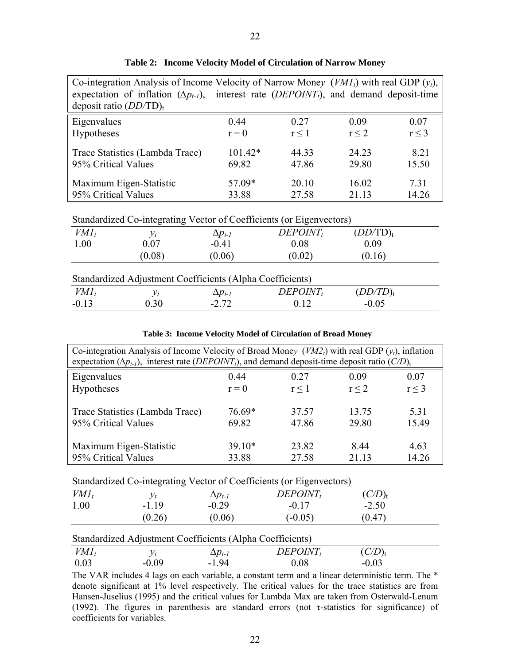| deposit ratio $(DD/TD)t$ | Co-integration Analysis of Income Velocity of Narrow Money $(VMI_t)$ with real GDP $(y_t)$ ,<br>expectation of inflation $(\Delta p_{t-1})$ , interest rate ( <i>DEPOINT<sub>t</sub></i> ), and demand deposit-time |                  |             |                      |            |  |  |  |  |  |  |
|--------------------------|---------------------------------------------------------------------------------------------------------------------------------------------------------------------------------------------------------------------|------------------|-------------|----------------------|------------|--|--|--|--|--|--|
| Eigenvalues              |                                                                                                                                                                                                                     | 0.44             | 0.27        | 0.09                 | 0.07       |  |  |  |  |  |  |
| Hypotheses               |                                                                                                                                                                                                                     | $r = 0$          | $r \leq 1$  | $r \leq 2$           | $r \leq 3$ |  |  |  |  |  |  |
|                          | $101.42*$<br>8.21<br>Trace Statistics (Lambda Trace)<br>44.33<br>24.23                                                                                                                                              |                  |             |                      |            |  |  |  |  |  |  |
| 95% Critical Values      |                                                                                                                                                                                                                     | 69.82            | 47.86       | 29.80                | 15.50      |  |  |  |  |  |  |
|                          | Maximum Eigen-Statistic                                                                                                                                                                                             | 57.09*           | 20.10       | 16.02                | 7.31       |  |  |  |  |  |  |
| 95% Critical Values      |                                                                                                                                                                                                                     | 33.88            | 27.58       | 21.13                | 14.26      |  |  |  |  |  |  |
|                          | Standardized Co-integrating Vector of Coefficients (or Eigenvectors)                                                                                                                                                |                  |             |                      |            |  |  |  |  |  |  |
| $VMI_t$                  | $y_t$                                                                                                                                                                                                               | $\Delta p_{t-1}$ | $DEPOINT_t$ | (DD/TD) <sub>t</sub> |            |  |  |  |  |  |  |
| 1.00                     | 0.07                                                                                                                                                                                                                | $-0.41$          | 0.08        | 0.09                 |            |  |  |  |  |  |  |
|                          | (0.08)                                                                                                                                                                                                              | (0.06)           | (0.02)      | (0.16)               |            |  |  |  |  |  |  |
|                          | Standardized Adjustment Coefficients (Alpha Coefficients)                                                                                                                                                           |                  |             |                      |            |  |  |  |  |  |  |
| $VMI_t$                  | $y_t$                                                                                                                                                                                                               | $\Delta p_{t-1}$ | $DEPOINT_t$ | (DD/TD) <sub>t</sub> |            |  |  |  |  |  |  |
| $-0.13$                  | 0.30                                                                                                                                                                                                                | $-2.72$          | 0.12        | $-0.05$              |            |  |  |  |  |  |  |

|  |  |  |  |  | Table 2: Income Velocity Model of Circulation of Narrow Money |  |  |
|--|--|--|--|--|---------------------------------------------------------------|--|--|
|--|--|--|--|--|---------------------------------------------------------------|--|--|

| $\sim \cdot \sim$ | $- \cdot$ , $-$ | $\ddotsc$ | $\ddotsc$ |
|-------------------|-----------------|-----------|-----------|
|                   |                 |           |           |
|                   |                 |           |           |
|                   |                 |           |           |

|  |  | Table 3: Income Velocity Model of Circulation of Broad Money |
|--|--|--------------------------------------------------------------|
|  |  |                                                              |

| Co-integration Analysis of Income Velocity of Broad Money ( $VM2t$ ) with real GDP ( $yt$ ), inflation<br>expectation ( $\Delta p_{t,l}$ ), interest rate ( <i>DEPOINT<sub>t</sub></i> ), and demand deposit-time deposit ratio ( <i>C/D</i> ) <sub>t</sub> |          |       |       |       |  |  |  |  |  |
|-------------------------------------------------------------------------------------------------------------------------------------------------------------------------------------------------------------------------------------------------------------|----------|-------|-------|-------|--|--|--|--|--|
| Eigenvalues                                                                                                                                                                                                                                                 | 0.44     | 0.27  | 0.09  | 0.07  |  |  |  |  |  |
| Hypotheses                                                                                                                                                                                                                                                  | $r = 0$  | r < 1 | r < 2 | r < 3 |  |  |  |  |  |
| Trace Statistics (Lambda Trace)                                                                                                                                                                                                                             | 76.69*   | 37.57 | 13.75 | 531   |  |  |  |  |  |
| 95% Critical Values                                                                                                                                                                                                                                         | 69.82    | 47.86 | 29.80 | 15.49 |  |  |  |  |  |
| Maximum Eigen-Statistic                                                                                                                                                                                                                                     | $39.10*$ | 23.82 | 844   | 4.63  |  |  |  |  |  |
| 95% Critical Values                                                                                                                                                                                                                                         | 33.88    | 27.58 | 21 13 | 14.26 |  |  |  |  |  |

Standardized Co-integrating Vector of Coefficients (or Eigenvectors)

| $VMI_t$ |         | $\Delta p_{t-1}$ | $DEPOINT_t$ | (C/D) <sub>t</sub> |  |
|---------|---------|------------------|-------------|--------------------|--|
| 1.00    | $-1.19$ | $-0.29$          | $-0.17$     | $-2.50$            |  |
|         | (0.26)  | (0.06)           | $(-0.05)$   | (0.47)             |  |

| Standardized Adjustment Coefficients (Alpha Coefficients) |         |                  |             |             |  |  |  |  |
|-----------------------------------------------------------|---------|------------------|-------------|-------------|--|--|--|--|
| $VMI_t$                                                   |         | $\Delta p_{t-1}$ | $DEPOINT_t$ | $(C/D)_{t}$ |  |  |  |  |
| 0.03                                                      | $-0.09$ | $-194$           | 0.08        | $-0.03$     |  |  |  |  |

The VAR includes 4 lags on each variable, a constant term and a linear deterministic term. The \* denote significant at 1% level respectively. The critical values for the trace statistics are from Hansen-Juselius (1995) and the critical values for Lambda Max are taken from Osterwald-Lenum (1992). The figures in parenthesis are standard errors (not τ-statistics for significance) of coefficients for variables.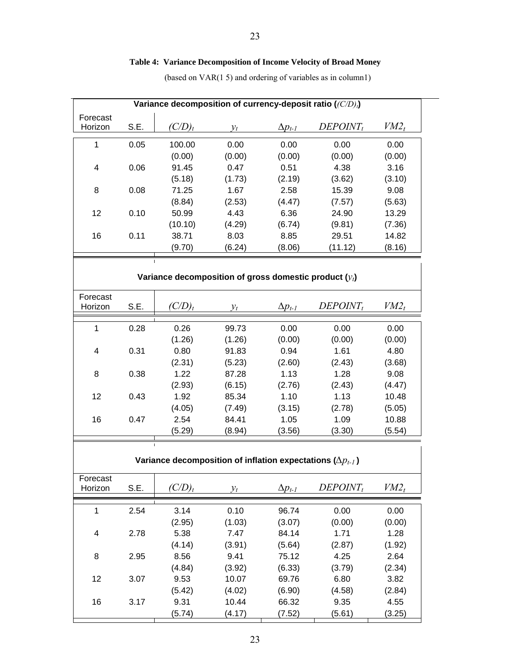# **Table 4: Variance Decomposition of Income Velocity of Broad Money**

(based on VAR(1 5) and ordering of variables as in column1)

| Variance decomposition of currency-deposit ratio ((C/D),) |      |                                                                       |        |                  |             |         |  |
|-----------------------------------------------------------|------|-----------------------------------------------------------------------|--------|------------------|-------------|---------|--|
| Forecast                                                  |      |                                                                       |        |                  |             |         |  |
| Horizon                                                   | S.E. | $(C/D)_t$                                                             | $y_t$  | $\Delta p_{t-1}$ | $DEPOINT_t$ | $VM2_t$ |  |
| $\mathbf{1}$                                              | 0.05 | 100.00                                                                | 0.00   | 0.00             | 0.00        | 0.00    |  |
|                                                           |      | (0.00)                                                                | (0.00) | (0.00)           | (0.00)      | (0.00)  |  |
| 4                                                         | 0.06 | 91.45                                                                 | 0.47   | 0.51             | 4.38        | 3.16    |  |
|                                                           |      | (5.18)                                                                | (1.73) | (2.19)           | (3.62)      | (3.10)  |  |
| 8                                                         | 0.08 | 71.25                                                                 | 1.67   | 2.58             | 15.39       | 9.08    |  |
|                                                           |      | (8.84)                                                                | (2.53) | (4.47)           | (7.57)      | (5.63)  |  |
| 12                                                        | 0.10 | 50.99                                                                 | 4.43   | 6.36             | 24.90       | 13.29   |  |
|                                                           |      | (10.10)                                                               | (4.29) | (6.74)           | (9.81)      | (7.36)  |  |
| 16                                                        | 0.11 | 38.71                                                                 | 8.03   | 8.85             | 29.51       | 14.82   |  |
|                                                           |      | (9.70)                                                                | (6.24) | (8.06)           | (11.12)     | (8.16)  |  |
|                                                           |      | $\mathbf{L}$                                                          |        |                  |             |         |  |
|                                                           |      |                                                                       |        |                  |             |         |  |
|                                                           |      | Variance decomposition of gross domestic product $(y_t)$              |        |                  |             |         |  |
| Forecast                                                  |      |                                                                       |        |                  |             |         |  |
| Horizon                                                   | S.E. | $(C/D)_t$                                                             | $y_t$  | $\Delta p_{t-1}$ | $DEPOINT_t$ | $VM2_t$ |  |
| $\mathbf{1}$                                              | 0.28 | 0.26                                                                  | 99.73  | 0.00             | 0.00        | 0.00    |  |
|                                                           |      | (1.26)                                                                | (1.26) | (0.00)           | (0.00)      | (0.00)  |  |
| 4                                                         | 0.31 | 0.80                                                                  | 91.83  | 0.94             | 1.61        | 4.80    |  |
|                                                           |      | (2.31)                                                                | (5.23) | (2.60)           | (2.43)      | (3.68)  |  |
| 8                                                         | 0.38 | 1.22                                                                  | 87.28  | 1.13             | 1.28        | 9.08    |  |
|                                                           |      | (2.93)                                                                | (6.15) | (2.76)           | (2.43)      | (4.47)  |  |
| 12                                                        | 0.43 | 1.92                                                                  | 85.34  | 1.10             | 1.13        | 10.48   |  |
|                                                           |      | (4.05)                                                                | (7.49) | (3.15)           | (2.78)      | (5.05)  |  |
| 16                                                        | 0.47 | 2.54                                                                  | 84.41  | 1.05             | 1.09        | 10.88   |  |
|                                                           |      | (5.29)                                                                | (8.94) | (3.56)           | (3.30)      | (5.54)  |  |
|                                                           |      | $\mathbf{I}$                                                          |        |                  |             |         |  |
|                                                           |      |                                                                       |        |                  |             |         |  |
|                                                           |      | Variance decomposition of inflation expectations ( $\Delta p_{t-1}$ ) |        |                  |             |         |  |
| Forecast                                                  |      |                                                                       |        |                  |             |         |  |
| Horizon                                                   | S.E. | $(C/D)_t$                                                             | $y_t$  | $\Delta p_{t-1}$ | $DEPOINT_t$ | $VM2_t$ |  |
| 1                                                         | 2.54 | 3.14                                                                  | 0.10   | 96.74            | 0.00        | 0.00    |  |
|                                                           |      | (2.95)                                                                | (1.03) | (3.07)           | (0.00)      | (0.00)  |  |
| 4                                                         | 2.78 | 5.38                                                                  | 7.47   | 84.14            | 1.71        | 1.28    |  |
|                                                           |      | (4.14)                                                                | (3.91) | (5.64)           | (2.87)      | (1.92)  |  |
| 8                                                         | 2.95 | 8.56                                                                  | 9.41   | 75.12            | 4.25        | 2.64    |  |
|                                                           |      | (4.84)                                                                | (3.92) | (6.33)           | (3.79)      | (2.34)  |  |
| 12                                                        | 3.07 | 9.53                                                                  | 10.07  | 69.76            | 6.80        | 3.82    |  |
|                                                           |      | (5.42)                                                                | (4.02) | (6.90)           | (4.58)      | (2.84)  |  |
| 16                                                        | 3.17 | 9.31                                                                  | 10.44  | 66.32            | 9.35        | 4.55    |  |
|                                                           |      | (5.74)                                                                | (4.17) | (7.52)           | (5.61)      | (3.25)  |  |
|                                                           |      |                                                                       |        |                  |             |         |  |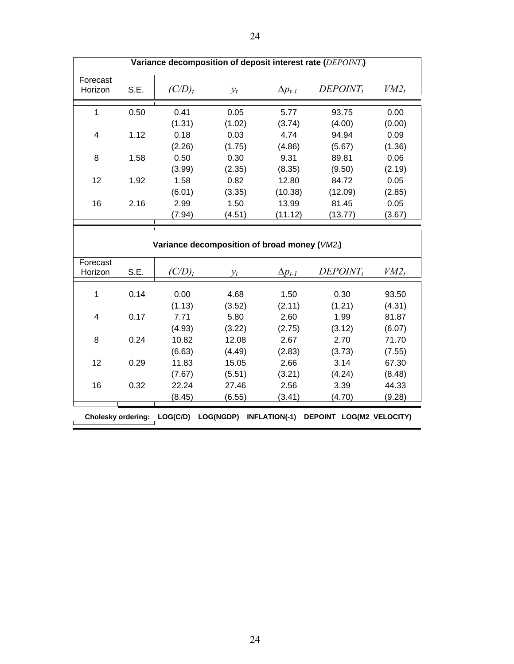| Variance decomposition of deposit interest rate ( $DEPOINTt$ ) |                                                   |           |        |                  |             |         |  |  |
|----------------------------------------------------------------|---------------------------------------------------|-----------|--------|------------------|-------------|---------|--|--|
| Forecast<br>Horizon                                            | S.E.                                              | $(C/D)_t$ | $y_t$  | $\Delta p_{t-1}$ | $DEPOINT_t$ | $VM2_t$ |  |  |
| 1                                                              | 0.50                                              | 0.41      | 0.05   | 5.77             | 93.75       | 0.00    |  |  |
|                                                                |                                                   | (1.31)    | (1.02) | (3.74)           | (4.00)      | (0.00)  |  |  |
| 4                                                              | 1.12                                              | 0.18      | 0.03   | 4.74             | 94.94       | 0.09    |  |  |
|                                                                |                                                   | (2.26)    | (1.75) | (4.86)           | (5.67)      | (1.36)  |  |  |
| 8                                                              | 1.58                                              | 0.50      | 0.30   | 9.31             | 89.81       | 0.06    |  |  |
|                                                                |                                                   | (3.99)    | (2.35) | (8.35)           | (9.50)      | (2.19)  |  |  |
| 12                                                             | 1.92                                              | 1.58      | 0.82   | 12.80            | 84.72       | 0.05    |  |  |
|                                                                |                                                   | (6.01)    | (3.35) | (10.38)          | (12.09)     | (2.85)  |  |  |
| 16                                                             | 2.16                                              | 2.99      | 1.50   | 13.99            | 81.45       | 0.05    |  |  |
|                                                                |                                                   | (7.94)    | (4.51) | (11.12)          | (13.77)     | (3.67)  |  |  |
|                                                                |                                                   |           |        |                  |             |         |  |  |
|                                                                | Variance decomposition of broad money ( $VM2_i$ ) |           |        |                  |             |         |  |  |
| Forecast                                                       |                                                   |           |        |                  |             |         |  |  |
| Horizon                                                        | S.E.                                              | 'C/D),    | $v_t$  | $\Delta p_{t-1}$ | $DEPOINT_t$ | $VM2_t$ |  |  |

 1 0.14 0.00 4.68 1.50 0.30 93.50  $(1.13)$   $(3.52)$   $(2.11)$   $(1.21)$   $(4.31)$  4 0.17 7.71 5.80 2.60 1.99 81.87  $(4.93)$   $(3.22)$   $(2.75)$   $(3.12)$   $(6.07)$  8 0.24 10.82 12.08 2.67 2.70 71.70 (6.63) (4.49) (2.83) (3.73) (7.55) 12 0.29 11.83 15.05 2.66 3.14 67.30  $(7.67)$   $(5.51)$   $(3.21)$   $(4.24)$   $(8.48)$  16 0.32 22.24 27.46 2.56 3.39 44.33  $(8.45)$   $(6.55)$   $(3.41)$   $(4.70)$   $(9.28)$ 

 **Cholesky ordering: LOG(C/D) LOG(NGDP) INFLATION(-1) DEPOINT LOG(M2\_VELOCITY)**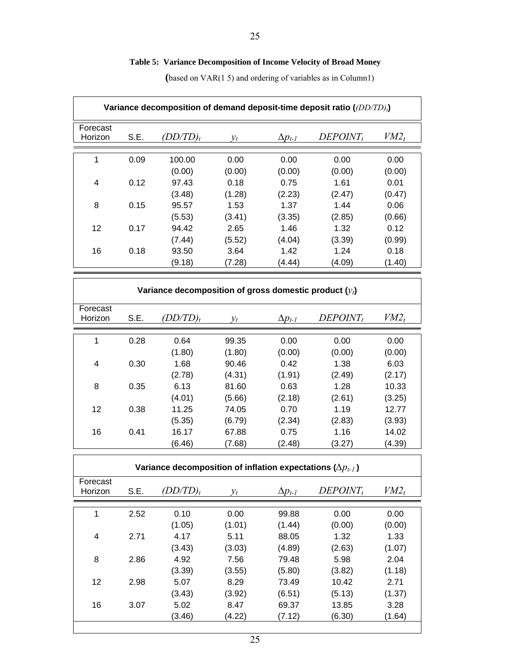# **Table 5: Variance Decomposition of Income Velocity of Broad Money**

| Variance decomposition of demand deposit-time deposit ratio ((DD/TD),) |      |                                                          |                          |                          |                          |                          |  |
|------------------------------------------------------------------------|------|----------------------------------------------------------|--------------------------|--------------------------|--------------------------|--------------------------|--|
| Forecast<br>Horizon                                                    | S.E. | $(DD/TD)_t$                                              | $v_t$                    | $\Delta p_{t-1}$         | $DEPOINT_t$              | $VM2_t$                  |  |
| 1                                                                      | 0.09 | 100.00                                                   | 0.00                     | 0.00                     | 0.00                     | 0.00                     |  |
| 4                                                                      | 0.12 | (0.00)<br>97.43                                          | (0.00)<br>0.18           | (0.00)<br>0.75           | (0.00)<br>1.61           | (0.00)<br>0.01           |  |
| 8                                                                      | 0.15 | (3.48)<br>95.57                                          | (1.28)<br>1.53           | (2.23)<br>1.37           | (2.47)<br>1.44           | (0.47)<br>0.06           |  |
| 12                                                                     | 0.17 | (5.53)<br>94.42                                          | (3.41)<br>2.65           | (3.35)<br>1.46           | (2.85)<br>1.32           | (0.66)<br>0.12           |  |
| 16                                                                     | 0.18 | (7.44)<br>93.50<br>(9.18)                                | (5.52)<br>3.64<br>(7.28) | (4.04)<br>1.42<br>(4.44) | (3.39)<br>1.24<br>(4.09) | (0.99)<br>0.18<br>(1.40) |  |
|                                                                        |      |                                                          |                          |                          |                          |                          |  |
|                                                                        |      | Variance decomposition of gross domestic product $(y_i)$ |                          |                          |                          |                          |  |
| Forecast<br>Horizon                                                    | S.E. | $(DD/TD)_t$                                              | $y_t$                    | $\Delta p_{t-1}$         | $DEPOINT_t$              | $VM2_t$                  |  |
| 1                                                                      | 0.28 | 0.64                                                     | 99.35                    | 0.00                     | 0.00                     | 0.00                     |  |
|                                                                        |      | (1.80)                                                   | (1.80)                   | (0.00)                   | (0.00)                   | (0.00)                   |  |
| $\overline{4}$                                                         | 0.30 | 1.68                                                     | 90.46                    | 0.42                     | 1.38                     | 6.03                     |  |
|                                                                        |      | (2.78)                                                   | (4.31)                   | (1.91)                   | (2.49)                   | (2.17)                   |  |
| 8                                                                      | 0.35 | 6.13                                                     | 81.60                    | 0.63                     | 1.28                     | 10.33                    |  |

 **(**based on VAR(1 5) and ordering of variables as in Column1)

|                     |      | (2.78)                                                                | (4.31) | (1.91)           | (2.49)      | (2.17)  |
|---------------------|------|-----------------------------------------------------------------------|--------|------------------|-------------|---------|
| 8                   | 0.35 | 6.13                                                                  | 81.60  | 0.63             | 1.28        | 10.33   |
|                     |      | (4.01)                                                                | (5.66) | (2.18)           | (2.61)      | (3.25)  |
| 12                  | 0.38 | 11.25                                                                 | 74.05  | 0.70             | 1.19        | 12.77   |
|                     |      | (5.35)                                                                | (6.79) | (2.34)           | (2.83)      | (3.93)  |
| 16                  | 0.41 | 16.17                                                                 | 67.88  | 0.75             | 1.16        | 14.02   |
|                     |      | (6.46)                                                                | (7.68) | (2.48)           | (3.27)      | (4.39)  |
|                     |      |                                                                       |        |                  |             |         |
|                     |      | Variance decomposition of inflation expectations ( $\Delta p_{t-1}$ ) |        |                  |             |         |
| Forecast<br>Horizon | S.E. | $(DD/TD)_t$                                                           | $v_t$  | $\Delta p_{t-1}$ | $DEPOINT_t$ | $VM2_t$ |
| 1                   | 2.52 | 0.10                                                                  | 0.00   | 99.88            | 0.00        | 0.00    |
|                     |      | (1.05)                                                                | (1.01) | (1.44)           | (0.00)      | (0.00)  |
| $\overline{4}$      | 2.71 | 4.17                                                                  | 5.11   | 88.05            | 1.32        | 1.33    |
|                     |      | (3.43)                                                                | (3.03) | (4.89)           | (2.63)      | (1.07)  |
| 8                   | 2.86 | 4.92                                                                  | 7.56   | 79.48            | 5.98        | 2.04    |
|                     |      | (3.39)                                                                | (3.55) | (5.80)           | (3.82)      | (1.18)  |
| 12                  | 2.98 | 5.07                                                                  | 8.29   | 73.49            | 10.42       | 2.71    |
|                     |      | (3.43)                                                                | (3.92) | (6.51)           | (5.13)      | (1.37)  |
| 16                  | 3.07 | 5.02                                                                  | 8.47   | 69.37            | 13.85       | 3.28    |
|                     |      | (3.46)                                                                | (4.22) | (7.12)           | (6.30)      | (1.64)  |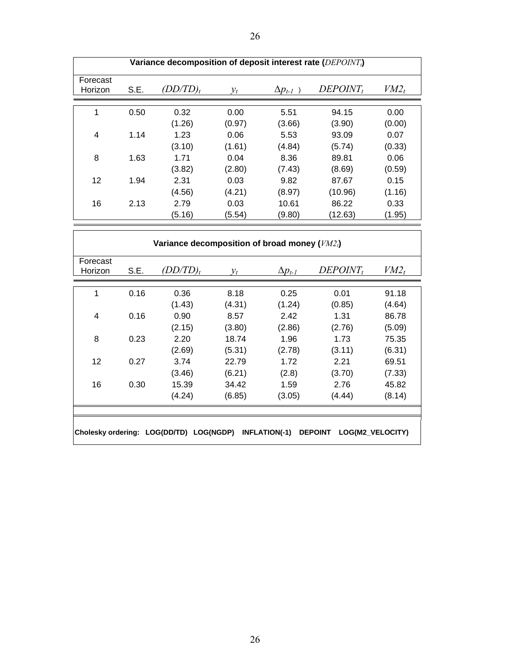| Variance decomposition of deposit interest rate ( $DEPOINT_i$ ) |      |          |                 |                  |             |         |  |
|-----------------------------------------------------------------|------|----------|-----------------|------------------|-------------|---------|--|
| Forecast<br>Horizon                                             | S.E. | (DD/TD), | $\mathcal{V}_t$ | $\Delta p_{t-1}$ | $DEPOINT_t$ | $VM2_t$ |  |
| 1                                                               | 0.50 | 0.32     | 0.00            | 5.51             | 94.15       | 0.00    |  |
|                                                                 |      | (1.26)   | (0.97)          | (3.66)           | (3.90)      | (0.00)  |  |
| 4                                                               | 1.14 | 1.23     | 0.06            | 5.53             | 93.09       | 0.07    |  |
|                                                                 |      | (3.10)   | (1.61)          | (4.84)           | (5.74)      | (0.33)  |  |
| 8                                                               | 1.63 | 1.71     | 0.04            | 8.36             | 89.81       | 0.06    |  |
|                                                                 |      | (3.82)   | (2.80)          | (7.43)           | (8.69)      | (0.59)  |  |
| $12 \overline{ }$                                               | 1.94 | 2.31     | 0.03            | 9.82             | 87.67       | 0.15    |  |
|                                                                 |      | (4.56)   | (4.21)          | (8.97)           | (10.96)     | (1.16)  |  |
| 16                                                              | 2.13 | 2.79     | 0.03            | 10.61            | 86.22       | 0.33    |  |
|                                                                 |      | (5.16)   | (5.54)          | (9.80)           | (12.63)     | (1.95)  |  |

| Forecast          |      | $(DD/TD)_t$ |        |                  | $DEPOINT_t$ | $VM2_t$ |
|-------------------|------|-------------|--------|------------------|-------------|---------|
| Horizon           | S.E. |             | $y_t$  | $\Delta p_{t-1}$ |             |         |
| 1                 | 0.16 | 0.36        | 8.18   | 0.25             | 0.01        | 91.18   |
|                   |      | (1.43)      | (4.31) | (1.24)           | (0.85)      | (4.64)  |
| 4                 | 0.16 | 0.90        | 8.57   | 2.42             | 1.31        | 86.78   |
|                   |      | (2.15)      | (3.80) | (2.86)           | (2.76)      | (5.09)  |
| 8                 | 0.23 | 2.20        | 18.74  | 1.96             | 1.73        | 75.35   |
|                   |      | (2.69)      | (5.31) | (2.78)           | (3.11)      | (6.31)  |
| $12 \overline{ }$ | 0.27 | 3.74        | 22.79  | 1.72             | 2.21        | 69.51   |
|                   |      | (3.46)      | (6.21) | (2.8)            | (3.70)      | (7.33)  |
| 16                | 0.30 | 15.39       | 34.42  | 1.59             | 2.76        | 45.82   |
|                   |      | (4.24)      | (6.85) | (3.05)           | (4.44)      | (8.14)  |
|                   |      |             |        |                  |             |         |
|                   |      |             |        |                  |             |         |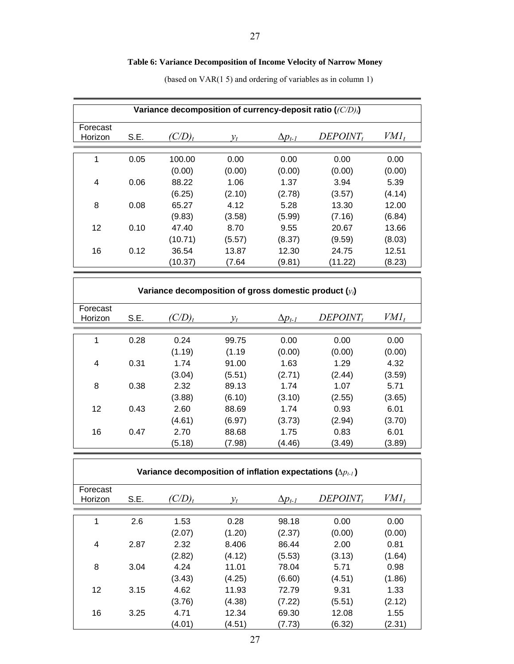# **Table 6: Variance Decomposition of Income Velocity of Narrow Money**

| Variance decomposition of currency-deposit ratio $((C/D)_t)$ |      |           |                 |                  |             |         |  |  |
|--------------------------------------------------------------|------|-----------|-----------------|------------------|-------------|---------|--|--|
| Forecast<br>Horizon                                          | S.E. | $(C/D)_t$ | $y_t$           | $\Delta p_{t-1}$ | $DEPOINT_t$ | $VMI_t$ |  |  |
|                                                              |      |           |                 |                  |             |         |  |  |
| 1                                                            | 0.05 | 100.00    | 0.00            | 0.00             | 0.00        | 0.00    |  |  |
|                                                              |      | (0.00)    | (0.00)          | (0.00)           | (0.00)      | (0.00)  |  |  |
| 4                                                            | 0.06 | 88.22     | 1.06            | 1.37             | 3.94        | 5.39    |  |  |
|                                                              |      | (6.25)    | (2.10)          | (2.78)           | (3.57)      | (4.14)  |  |  |
| 8                                                            | 0.08 | 65.27     | 4.12            | 5.28             | 13.30       | 12.00   |  |  |
|                                                              |      | (9.83)    | (3.58)          | (5.99)           | (7.16)      | (6.84)  |  |  |
| 12                                                           | 0.10 | 47.40     | 8.70            | 9.55             | 20.67       | 13.66   |  |  |
|                                                              |      | (10.71)   | (5.57)          | (8.37)           | (9.59)      | (8.03)  |  |  |
| 16                                                           | 0.12 | 36.54     | 13.87           | 12.30            | 24.75       | 12.51   |  |  |
|                                                              |      | (10.37)   | (7.64           | (9.81)           | (11.22)     | (8.23)  |  |  |
|                                                              |      |           |                 |                  |             |         |  |  |
| Variance decomposition of gross domestic product $(y_t)$     |      |           |                 |                  |             |         |  |  |
| Forecast<br>Horizon                                          | S.E. | $(C/D)_t$ | $\mathcal{V}_t$ | $\Delta p_{t-1}$ | $DEPOINT_t$ | $VMI_t$ |  |  |

(based on VAR(1 5) and ordering of variables as in column 1)

| Variance decomposition of gross domestic product $(y_i)$ |      |           |        |                  |             |         |  |  |
|----------------------------------------------------------|------|-----------|--------|------------------|-------------|---------|--|--|
| Forecast<br>Horizon                                      | S.E. | $(C/D)_t$ | $v_t$  | $\Delta p_{t-1}$ | $DEPOINT_t$ | $VMI_t$ |  |  |
|                                                          |      |           |        |                  |             |         |  |  |
| 1                                                        | 0.28 | 0.24      | 99.75  | 0.00             | 0.00        | 0.00    |  |  |
|                                                          |      | (1.19)    | (1.19) | (0.00)           | (0.00)      | (0.00)  |  |  |
| 4                                                        | 0.31 | 1.74      | 91.00  | 1.63             | 1.29        | 4.32    |  |  |
|                                                          |      | (3.04)    | (5.51) | (2.71)           | (2.44)      | (3.59)  |  |  |
| 8                                                        | 0.38 | 2.32      | 89.13  | 1.74             | 1.07        | 5.71    |  |  |
|                                                          |      | (3.88)    | (6.10) | (3.10)           | (2.55)      | (3.65)  |  |  |
| $12 \overline{ }$                                        | 0.43 | 2.60      | 88.69  | 1.74             | 0.93        | 6.01    |  |  |
|                                                          |      | (4.61)    | (6.97) | (3.73)           | (2.94)      | (3.70)  |  |  |
| 16                                                       | 0.47 | 2.70      | 88.68  | 1.75             | 0.83        | 6.01    |  |  |
|                                                          |      | (5.18)    | (7.98) | (4.46)           | (3.49)      | (3.89)  |  |  |

| Variance decomposition of inflation expectations $(\Delta p_{L})$ |      |           |                 |                  |             |         |  |
|-------------------------------------------------------------------|------|-----------|-----------------|------------------|-------------|---------|--|
| Forecast<br>Horizon                                               | S.E. | $(C/D)_t$ | $\mathcal{V}_t$ | $\Delta p_{t-1}$ | $DEPOINT_t$ | $VMI_t$ |  |
| 1                                                                 | 2.6  | 1.53      | 0.28            | 98.18            | 0.00        | 0.00    |  |
|                                                                   |      | (2.07)    | (1.20)          | (2.37)           | (0.00)      | (0.00)  |  |
| 4                                                                 | 2.87 | 2.32      | 8.406           | 86.44            | 2.00        | 0.81    |  |
|                                                                   |      | (2.82)    | (4.12)          | (5.53)           | (3.13)      | (1.64)  |  |
| 8                                                                 | 3.04 | 4.24      | 11.01           | 78.04            | 5.71        | 0.98    |  |
|                                                                   |      | (3.43)    | (4.25)          | (6.60)           | (4.51)      | (1.86)  |  |
| 12                                                                | 3.15 | 4.62      | 11.93           | 72.79            | 9.31        | 1.33    |  |
|                                                                   |      | (3.76)    | (4.38)          | (7.22)           | (5.51)      | (2.12)  |  |
| 16                                                                | 3.25 | 4.71      | 12.34           | 69.30            | 12.08       | 1.55    |  |
|                                                                   |      | (4.01)    | (4.51)          | (7.73)           | (6.32)      | (2.31)  |  |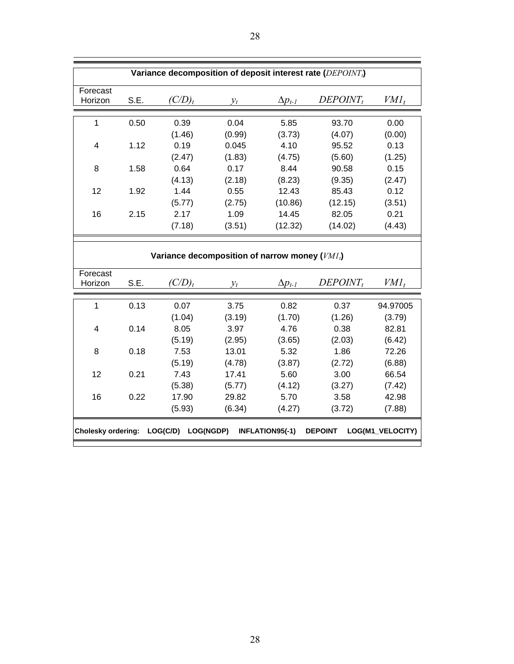| Variance decomposition of deposit interest rate (DEPOINT <sub>i</sub> )                        |      |                                                  |        |                  |             |          |  |
|------------------------------------------------------------------------------------------------|------|--------------------------------------------------|--------|------------------|-------------|----------|--|
| Forecast<br>Horizon                                                                            | S.E. | $(C/D)_t$                                        | $y_t$  | $\Delta p_{t-1}$ | $DEPOINT_t$ | $VMI_t$  |  |
| $\mathbf{1}$                                                                                   | 0.50 | 0.39                                             | 0.04   | 5.85             | 93.70       | 0.00     |  |
|                                                                                                |      | (1.46)                                           | (0.99) | (3.73)           | (4.07)      | (0.00)   |  |
| $\overline{\mathbf{4}}$                                                                        | 1.12 | 0.19                                             | 0.045  | 4.10             | 95.52       | 0.13     |  |
|                                                                                                |      | (2.47)                                           | (1.83) | (4.75)           | (5.60)      | (1.25)   |  |
| 8                                                                                              | 1.58 | 0.64                                             | 0.17   | 8.44             | 90.58       | 0.15     |  |
|                                                                                                |      | (4.13)                                           | (2.18) | (8.23)           | (9.35)      | (2.47)   |  |
| 12                                                                                             | 1.92 | 1.44                                             | 0.55   | 12.43            | 85.43       | 0.12     |  |
|                                                                                                |      | (5.77)                                           | (2.75) | (10.86)          | (12.15)     | (3.51)   |  |
| 16                                                                                             | 2.15 | 2.17                                             | 1.09   | 14.45            | 82.05       | 0.21     |  |
|                                                                                                |      | (7.18)                                           | (3.51) | (12.32)          | (14.02)     | (4.43)   |  |
|                                                                                                |      |                                                  |        |                  |             |          |  |
|                                                                                                |      | Variance decomposition of narrow money $(VMI_t)$ |        |                  |             |          |  |
| Forecast<br>Horizon                                                                            | S.E. | $\frac{C}{D_t}$ $y_t$                            |        | $\Delta p_{t-1}$ | $DEPOINT_t$ | $VMI_t$  |  |
| $\mathbf{1}$                                                                                   | 0.13 | 0.07                                             | 3.75   | 0.82             | 0.37        | 94.97005 |  |
|                                                                                                |      | (1.04)                                           | (3.19) | (1.70)           | (1.26)      | (3.79)   |  |
| $\overline{4}$                                                                                 | 0.14 | 8.05                                             | 3.97   | 4.76             | 0.38        | 82.81    |  |
|                                                                                                |      | (5.19)                                           | (2.95) | (3.65)           | (2.03)      | (6.42)   |  |
| 8                                                                                              | 0.18 | 7.53                                             | 13.01  | 5.32             | 1.86        | 72.26    |  |
|                                                                                                |      | (5.19)                                           | (4.78) | (3.87)           | (2.72)      | (6.88)   |  |
| 12                                                                                             | 0.21 | 7.43                                             | 17.41  | 5.60             | 3.00        | 66.54    |  |
|                                                                                                |      | (5.38)                                           | (5.77) | (4.12)           | (3.27)      | (7.42)   |  |
| 16                                                                                             | 0.22 | 17.90                                            | 29.82  | 5.70             | 3.58        | 42.98    |  |
|                                                                                                |      | (5.93)                                           | (6.34) | (4.27)           | (3.72)      | (7.88)   |  |
|                                                                                                |      |                                                  |        |                  |             |          |  |
| Cholesky ordering: LOG(C/D) LOG(NGDP)<br>INFLATION95(-1)<br>LOG(M1_VELOCITY)<br><b>DEPOINT</b> |      |                                                  |        |                  |             |          |  |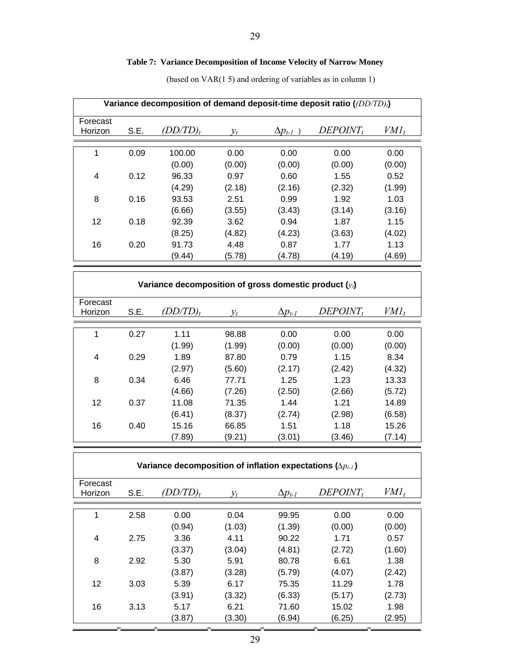# **Table 7: Variance Decomposition of Income Velocity of Narrow Money**

| Variance decomposition of demand deposit-time deposit ratio ((DD/TD).) |      |            |        |                  |             |         |  |  |
|------------------------------------------------------------------------|------|------------|--------|------------------|-------------|---------|--|--|
| Forecast<br>Horizon                                                    | S.E. | $DD/TD)_t$ | $v_t$  | $\Delta p_{t-1}$ | $DEPOINT_t$ | $VMI_t$ |  |  |
|                                                                        |      |            |        |                  |             |         |  |  |
| 1                                                                      | 0.09 | 100.00     | 0.00   | 0.00             | 0.00        | 0.00    |  |  |
|                                                                        |      | (0.00)     | (0.00) | (0.00)           | (0.00)      | (0.00)  |  |  |
| 4                                                                      | 0.12 | 96.33      | 0.97   | 0.60             | 1.55        | 0.52    |  |  |
|                                                                        |      | (4.29)     | (2.18) | (2.16)           | (2.32)      | (1.99)  |  |  |
| 8                                                                      | 0.16 | 93.53      | 2.51   | 0.99             | 1.92        | 1.03    |  |  |
|                                                                        |      | (6.66)     | (3.55) | (3.43)           | (3.14)      | (3.16)  |  |  |
| $12 \overline{ }$                                                      | 0.18 | 92.39      | 3.62   | 0.94             | 1.87        | 1.15    |  |  |
|                                                                        |      | (8.25)     | (4.82) | (4.23)           | (3.63)      | (4.02)  |  |  |
| 16                                                                     | 0.20 | 91.73      | 4.48   | 0.87             | 1.77        | 1.13    |  |  |
|                                                                        |      | (9.44)     | (5.78) | (4.78)           | (4.19)      | (4.69)  |  |  |

(based on VAR(1 5) and ordering of variables as in column 1)

| Variance decomposition of gross domestic product $(y_i)$ |      |          |        |                  |             |         |  |  |
|----------------------------------------------------------|------|----------|--------|------------------|-------------|---------|--|--|
| Forecast<br>Horizon                                      | S.E. | (DD/TD), | $v_t$  | $\Delta p_{t-1}$ | $DEPOINT_t$ | $VMI_t$ |  |  |
| 1                                                        | 0.27 | 1.11     | 98.88  | 0.00             | 0.00        | 0.00    |  |  |
|                                                          |      | (1.99)   | (1.99) | (0.00)           | (0.00)      | (0.00)  |  |  |
| 4                                                        | 0.29 | 1.89     | 87.80  | 0.79             | 1.15        | 8.34    |  |  |
|                                                          |      | (2.97)   | (5.60) | (2.17)           | (2.42)      | (4.32)  |  |  |
| 8                                                        | 0.34 | 6.46     | 77.71  | 1.25             | 1.23        | 13.33   |  |  |
|                                                          |      | (4.66)   | (7.26) | (2.50)           | (2.66)      | (5.72)  |  |  |
| 12                                                       | 0.37 | 11.08    | 71.35  | 1.44             | 1.21        | 14.89   |  |  |
|                                                          |      | (6.41)   | (8.37) | (2.74)           | (2.98)      | (6.58)  |  |  |
| 16                                                       | 0.40 | 15.16    | 66.85  | 1.51             | 1.18        | 15.26   |  |  |
|                                                          |      | (7.89)   | (9.21) | (3.01)           | (3.46)      | (7.14)  |  |  |

| Variance decomposition of inflation expectations $(\Delta p_{t-1})$ |      |         |        |                  |             |         |  |  |
|---------------------------------------------------------------------|------|---------|--------|------------------|-------------|---------|--|--|
| Forecast<br>Horizon                                                 | S.E. | DD/TD), | $v_t$  | $\Delta p_{t-1}$ | $DEPOINT_t$ | $VMI_t$ |  |  |
| 1                                                                   | 2.58 | 0.00    | 0.04   | 99.95            | 0.00        | 0.00    |  |  |
|                                                                     |      | (0.94)  | (1.03) | (1.39)           | (0.00)      | (0.00)  |  |  |
| 4                                                                   | 2.75 | 3.36    | 4.11   | 90.22            | 1.71        | 0.57    |  |  |
|                                                                     |      | (3.37)  | (3.04) | (4.81)           | (2.72)      | (1.60)  |  |  |
| 8                                                                   | 2.92 | 5.30    | 5.91   | 80.78            | 6.61        | 1.38    |  |  |
|                                                                     |      | (3.87)  | (3.28) | (5.79)           | (4.07)      | (2.42)  |  |  |
| $12 \overline{ }$                                                   | 3.03 | 5.39    | 6.17   | 75.35            | 11.29       | 1.78    |  |  |
|                                                                     |      | (3.91)  | (3.32) | (6.33)           | (5.17)      | (2.73)  |  |  |
| 16                                                                  | 3.13 | 5.17    | 6.21   | 71.60            | 15.02       | 1.98    |  |  |
|                                                                     |      | (3.87)  | (3.30) | (6.94)           | (6.25)      | (2.95)  |  |  |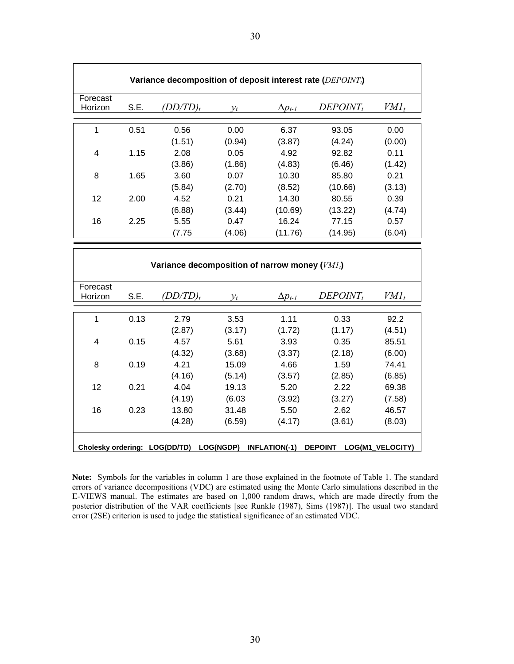| Variance decomposition of deposit interest rate (DEPOINT <sub>i</sub> ) |                                                                                   |                                               |        |                  |             |         |  |  |
|-------------------------------------------------------------------------|-----------------------------------------------------------------------------------|-----------------------------------------------|--------|------------------|-------------|---------|--|--|
| Forecast<br>Horizon                                                     | S.E.                                                                              | $(DD/TD)_t$                                   | $y_t$  | $\Delta p_{t-I}$ | $DEPOINT_t$ | $VMI_t$ |  |  |
| $\mathbf{1}$                                                            | 0.51                                                                              | 0.56                                          | 0.00   | 6.37             | 93.05       | 0.00    |  |  |
|                                                                         |                                                                                   | (1.51)                                        | (0.94) | (3.87)           | (4.24)      | (0.00)  |  |  |
| $\overline{\mathbf{4}}$                                                 | 1.15                                                                              | 2.08                                          | 0.05   | 4.92             | 92.82       | 0.11    |  |  |
|                                                                         |                                                                                   | (3.86)                                        | (1.86) | (4.83)           | (6.46)      | (1.42)  |  |  |
| 8                                                                       | 1.65                                                                              | 3.60                                          | 0.07   | 10.30            | 85.80       | 0.21    |  |  |
|                                                                         |                                                                                   | (5.84)                                        | (2.70) | (8.52)           | (10.66)     | (3.13)  |  |  |
| 12                                                                      | 2.00                                                                              | 4.52                                          | 0.21   | 14.30            | 80.55       | 0.39    |  |  |
|                                                                         |                                                                                   | (6.88)                                        | (3.44) | (10.69)          | (13.22)     | (4.74)  |  |  |
| 16                                                                      | 2.25                                                                              | 5.55                                          | 0.47   | 16.24            | 77.15       | 0.57    |  |  |
|                                                                         |                                                                                   | (7.75)                                        | (4.06) | (11.76)          | (14.95)     | (6.04)  |  |  |
|                                                                         |                                                                                   |                                               |        |                  |             |         |  |  |
|                                                                         |                                                                                   | Variance decomposition of narrow money (VMI,) |        |                  |             |         |  |  |
| Forecast<br>Horizon                                                     | S.E.                                                                              | $(DD/TD)_t$                                   | $y_t$  | $\Delta p_{t-I}$ | $DEPOINT_t$ | $VMI_t$ |  |  |
| $\mathbf{1}$                                                            | 0.13                                                                              | 2.79                                          | 3.53   | 1.11             | 0.33        | 92.2    |  |  |
|                                                                         |                                                                                   | (2.87)                                        | (3.17) | (1.72)           | (1.17)      | (4.51)  |  |  |
| $\overline{4}$                                                          | 0.15                                                                              | 4.57                                          | 5.61   | 3.93             | 0.35        | 85.51   |  |  |
|                                                                         |                                                                                   | (4.32)                                        | (3.68) | (3.37)           | (2.18)      | (6.00)  |  |  |
| 8                                                                       | 0.19                                                                              | 4.21                                          | 15.09  | 4.66             | 1.59        | 74.41   |  |  |
|                                                                         |                                                                                   | (4.16)                                        | (5.14) | (3.57)           | (2.85)      | (6.85)  |  |  |
| 12                                                                      | 0.21                                                                              | 4.04                                          | 19.13  | 5.20             | 2.22        | 69.38   |  |  |
|                                                                         |                                                                                   | (4.19)                                        | (6.03) | (3.92)           | (3.27)      | (7.58)  |  |  |
| 16                                                                      | 0.23                                                                              | 13.80                                         | 31.48  | 5.50             | 2.62        | 46.57   |  |  |
|                                                                         |                                                                                   | (4.28)                                        | (6.59) | (4.17)           | (3.61)      | (8.03)  |  |  |
|                                                                         | Cholesky ordering: LOG(DD/TD) LOG(NGDP) INFLATION(-1)<br>DEPOINT LOG(M1_VELOCITY) |                                               |        |                  |             |         |  |  |

**Note:** Symbols for the variables in column 1 are those explained in the footnote of Table 1. The standard errors of variance decompositions (VDC) are estimated using the Monte Carlo simulations described in the E-VIEWS manual. The estimates are based on 1,000 random draws, which are made directly from the posterior distribution of the VAR coefficients [see Runkle (1987), Sims (1987)]. The usual two standard error (2SE) criterion is used to judge the statistical significance of an estimated VDC.